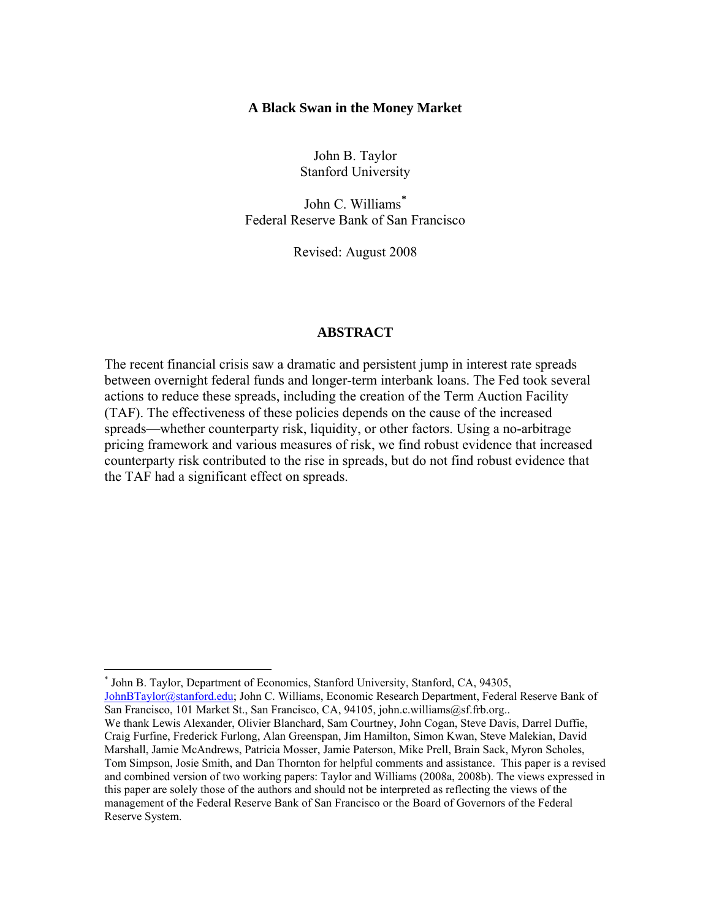## **A Black Swan in the Money Market**

John B. Taylor Stanford University

John C. Williams**[\\*](#page-0-0)** Federal Reserve Bank of San Francisco

Revised: August 2008

## **ABSTRACT**

The recent financial crisis saw a dramatic and persistent jump in interest rate spreads between overnight federal funds and longer-term interbank loans. The Fed took several actions to reduce these spreads, including the creation of the Term Auction Facility (TAF). The effectiveness of these policies depends on the cause of the increased spreads—whether counterparty risk, liquidity, or other factors. Using a no-arbitrage pricing framework and various measures of risk, we find robust evidence that increased counterparty risk contributed to the rise in spreads, but do not find robust evidence that the TAF had a significant effect on spreads.

 $\overline{a}$ 

<span id="page-0-0"></span><sup>\*</sup> John B. Taylor, Department of Economics, Stanford University, Stanford, CA, 94305, [JohnBTaylor@stanford.edu](mailto:JohnBTaylor@stanford.edu); John C. Williams, Economic Research Department, Federal Reserve Bank of San Francisco, 101 Market St., San Francisco, CA, 94105, john.c.williams@sf.frb.org.. We thank Lewis Alexander, Olivier Blanchard, Sam Courtney, John Cogan, Steve Davis, Darrel Duffie, Craig Furfine, Frederick Furlong, Alan Greenspan, Jim Hamilton, Simon Kwan, Steve Malekian, David Marshall, Jamie McAndrews, Patricia Mosser, Jamie Paterson, Mike Prell, Brain Sack, Myron Scholes, Tom Simpson, Josie Smith, and Dan Thornton for helpful comments and assistance. This paper is a revised and combined version of two working papers: Taylor and Williams (2008a, 2008b). The views expressed in this paper are solely those of the authors and should not be interpreted as reflecting the views of the management of the Federal Reserve Bank of San Francisco or the Board of Governors of the Federal Reserve System.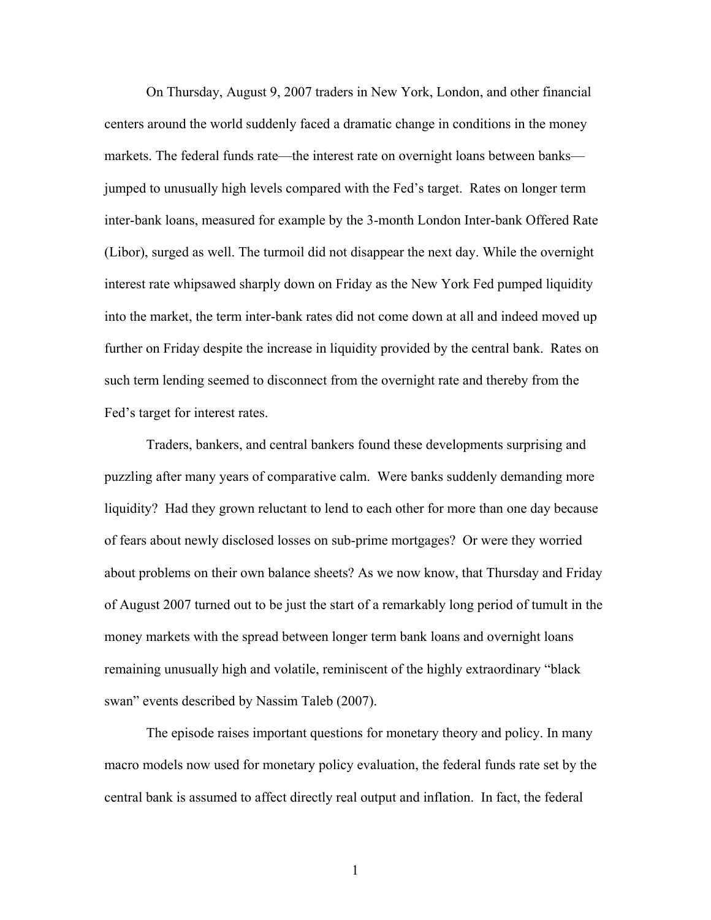On Thursday, August 9, 2007 traders in New York, London, and other financial centers around the world suddenly faced a dramatic change in conditions in the money markets. The federal funds rate—the interest rate on overnight loans between banks jumped to unusually high levels compared with the Fed's target. Rates on longer term inter-bank loans, measured for example by the 3-month London Inter-bank Offered Rate (Libor), surged as well. The turmoil did not disappear the next day. While the overnight interest rate whipsawed sharply down on Friday as the New York Fed pumped liquidity into the market, the term inter-bank rates did not come down at all and indeed moved up further on Friday despite the increase in liquidity provided by the central bank. Rates on such term lending seemed to disconnect from the overnight rate and thereby from the Fed's target for interest rates.

Traders, bankers, and central bankers found these developments surprising and puzzling after many years of comparative calm. Were banks suddenly demanding more liquidity? Had they grown reluctant to lend to each other for more than one day because of fears about newly disclosed losses on sub-prime mortgages? Or were they worried about problems on their own balance sheets? As we now know, that Thursday and Friday of August 2007 turned out to be just the start of a remarkably long period of tumult in the money markets with the spread between longer term bank loans and overnight loans remaining unusually high and volatile, reminiscent of the highly extraordinary "black swan" events described by Nassim Taleb (2007).

 The episode raises important questions for monetary theory and policy. In many macro models now used for monetary policy evaluation, the federal funds rate set by the central bank is assumed to affect directly real output and inflation. In fact, the federal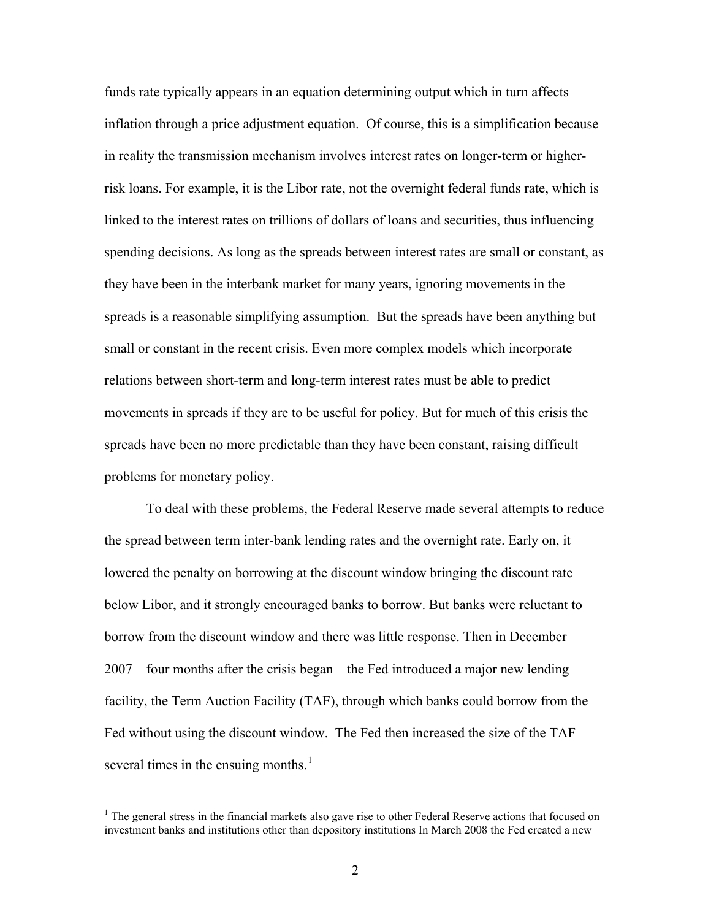funds rate typically appears in an equation determining output which in turn affects inflation through a price adjustment equation. Of course, this is a simplification because in reality the transmission mechanism involves interest rates on longer-term or higherrisk loans. For example, it is the Libor rate, not the overnight federal funds rate, which is linked to the interest rates on trillions of dollars of loans and securities, thus influencing spending decisions. As long as the spreads between interest rates are small or constant, as they have been in the interbank market for many years, ignoring movements in the spreads is a reasonable simplifying assumption. But the spreads have been anything but small or constant in the recent crisis. Even more complex models which incorporate relations between short-term and long-term interest rates must be able to predict movements in spreads if they are to be useful for policy. But for much of this crisis the spreads have been no more predictable than they have been constant, raising difficult problems for monetary policy.

 To deal with these problems, the Federal Reserve made several attempts to reduce the spread between term inter-bank lending rates and the overnight rate. Early on, it lowered the penalty on borrowing at the discount window bringing the discount rate below Libor, and it strongly encouraged banks to borrow. But banks were reluctant to borrow from the discount window and there was little response. Then in December 2007—four months after the crisis began—the Fed introduced a major new lending facility, the Term Auction Facility (TAF), through which banks could borrow from the Fed without using the discount window. The Fed then increased the size of the TAF several times in the ensuing months. $<sup>1</sup>$  $<sup>1</sup>$  $<sup>1</sup>$ </sup>

 $\overline{a}$ 

<span id="page-2-0"></span><sup>&</sup>lt;sup>1</sup> The general stress in the financial markets also gave rise to other Federal Reserve actions that focused on investment banks and institutions other than depository institutions In March 2008 the Fed created a new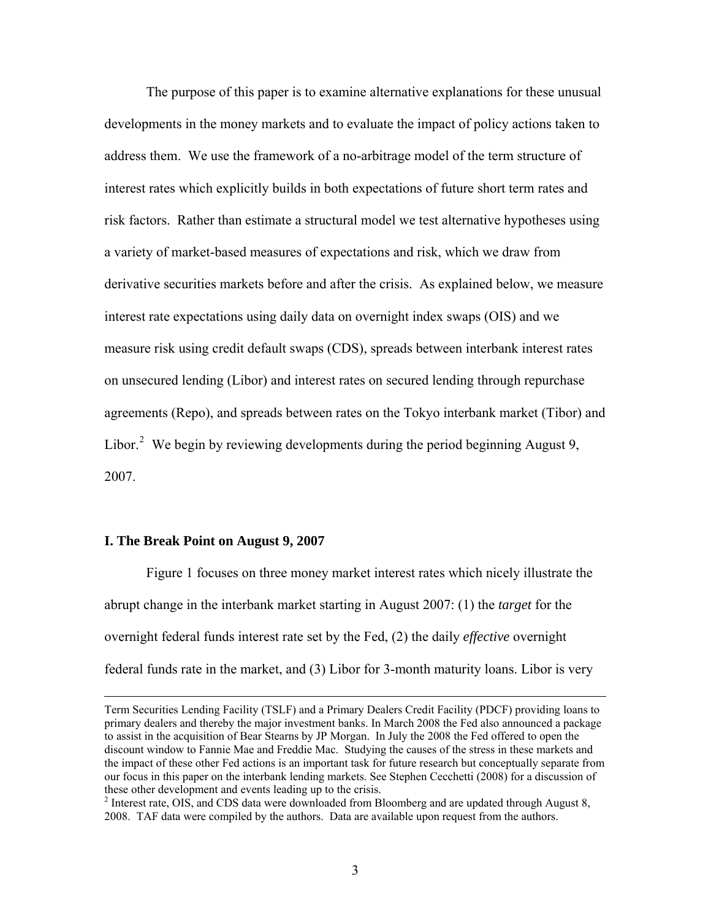The purpose of this paper is to examine alternative explanations for these unusual developments in the money markets and to evaluate the impact of policy actions taken to address them. We use the framework of a no-arbitrage model of the term structure of interest rates which explicitly builds in both expectations of future short term rates and risk factors. Rather than estimate a structural model we test alternative hypotheses using a variety of market-based measures of expectations and risk, which we draw from derivative securities markets before and after the crisis. As explained below, we measure interest rate expectations using daily data on overnight index swaps (OIS) and we measure risk using credit default swaps (CDS), spreads between interbank interest rates on unsecured lending (Libor) and interest rates on secured lending through repurchase agreements (Repo), and spreads between rates on the Tokyo interbank market (Tibor) and Libor. $^2$  $^2$  We begin by reviewing developments during the period beginning August 9, 2007.

#### **I. The Break Point on August 9, 2007**

 Figure 1 focuses on three money market interest rates which nicely illustrate the abrupt change in the interbank market starting in August 2007: (1) the *target* for the overnight federal funds interest rate set by the Fed, (2) the daily *effective* overnight federal funds rate in the market, and (3) Libor for 3-month maturity loans. Libor is very

Term Securities Lending Facility (TSLF) and a Primary Dealers Credit Facility (PDCF) providing loans to primary dealers and thereby the major investment banks. In March 2008 the Fed also announced a package to assist in the acquisition of Bear Stearns by JP Morgan. In July the 2008 the Fed offered to open the discount window to Fannie Mae and Freddie Mac. Studying the causes of the stress in these markets and the impact of these other Fed actions is an important task for future research but conceptually separate from our focus in this paper on the interbank lending markets. See Stephen Cecchetti (2008) for a discussion of these other development and events leading up to the crisis.

<span id="page-3-0"></span> $2^2$  Interest rate, OIS, and CDS data were downloaded from Bloomberg and are updated through August 8, 2008. TAF data were compiled by the authors. Data are available upon request from the authors.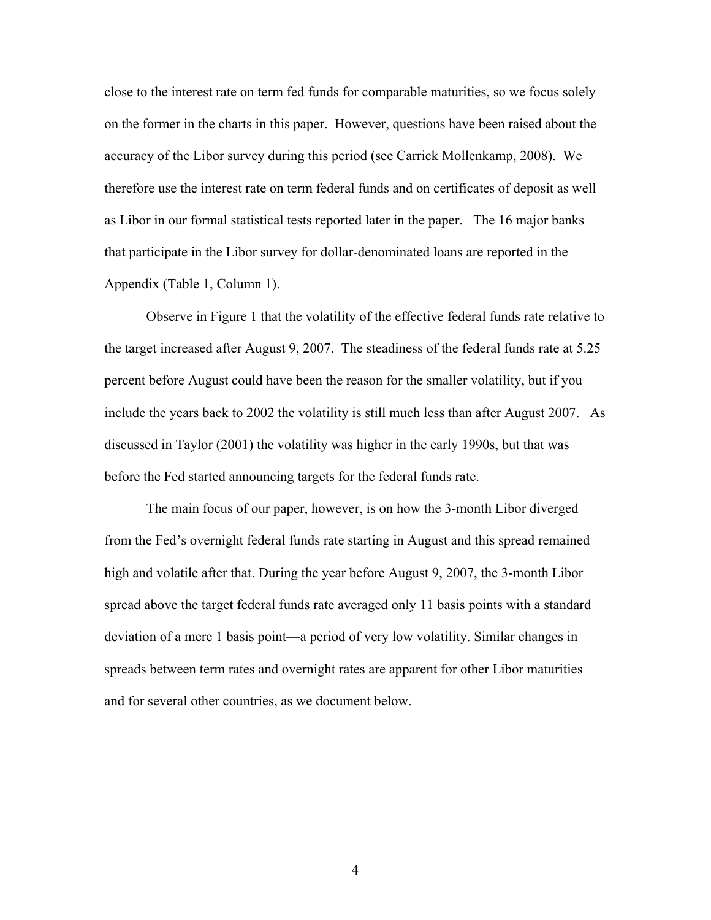close to the interest rate on term fed funds for comparable maturities, so we focus solely on the former in the charts in this paper. However, questions have been raised about the accuracy of the Libor survey during this period (see Carrick Mollenkamp, 2008). We therefore use the interest rate on term federal funds and on certificates of deposit as well as Libor in our formal statistical tests reported later in the paper. The 16 major banks that participate in the Libor survey for dollar-denominated loans are reported in the Appendix (Table 1, Column 1).

 Observe in Figure 1 that the volatility of the effective federal funds rate relative to the target increased after August 9, 2007. The steadiness of the federal funds rate at 5.25 percent before August could have been the reason for the smaller volatility, but if you include the years back to 2002 the volatility is still much less than after August 2007. As discussed in Taylor (2001) the volatility was higher in the early 1990s, but that was before the Fed started announcing targets for the federal funds rate.

 The main focus of our paper, however, is on how the 3-month Libor diverged from the Fed's overnight federal funds rate starting in August and this spread remained high and volatile after that. During the year before August 9, 2007, the 3-month Libor spread above the target federal funds rate averaged only 11 basis points with a standard deviation of a mere 1 basis point—a period of very low volatility. Similar changes in spreads between term rates and overnight rates are apparent for other Libor maturities and for several other countries, as we document below.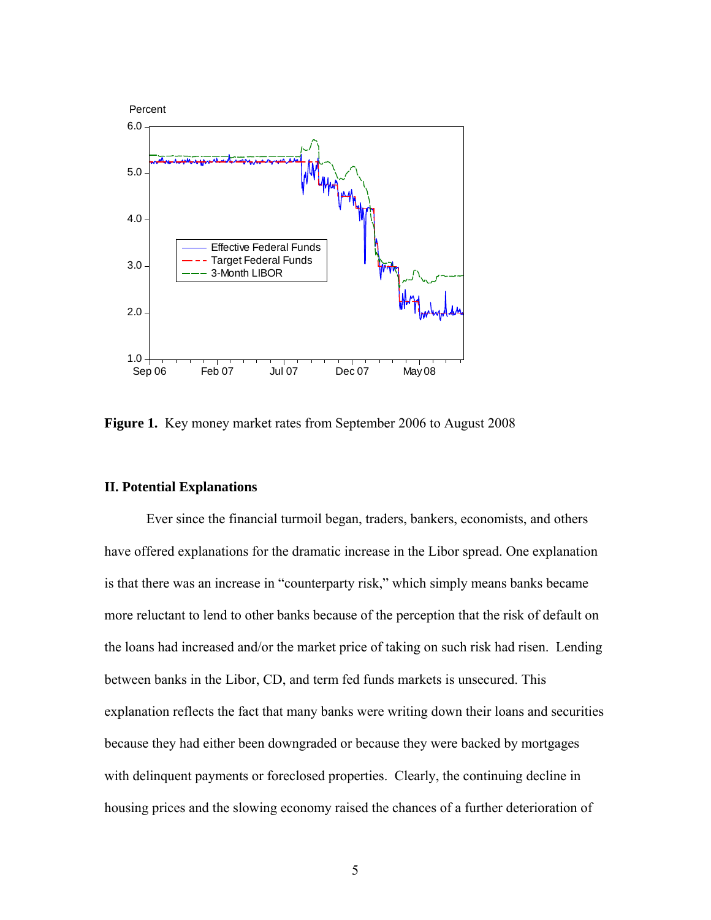

**Figure 1.** Key money market rates from September 2006 to August 2008

# **II. Potential Explanations**

 Ever since the financial turmoil began, traders, bankers, economists, and others have offered explanations for the dramatic increase in the Libor spread. One explanation is that there was an increase in "counterparty risk," which simply means banks became more reluctant to lend to other banks because of the perception that the risk of default on the loans had increased and/or the market price of taking on such risk had risen. Lending between banks in the Libor, CD, and term fed funds markets is unsecured. This explanation reflects the fact that many banks were writing down their loans and securities because they had either been downgraded or because they were backed by mortgages with delinquent payments or foreclosed properties. Clearly, the continuing decline in housing prices and the slowing economy raised the chances of a further deterioration of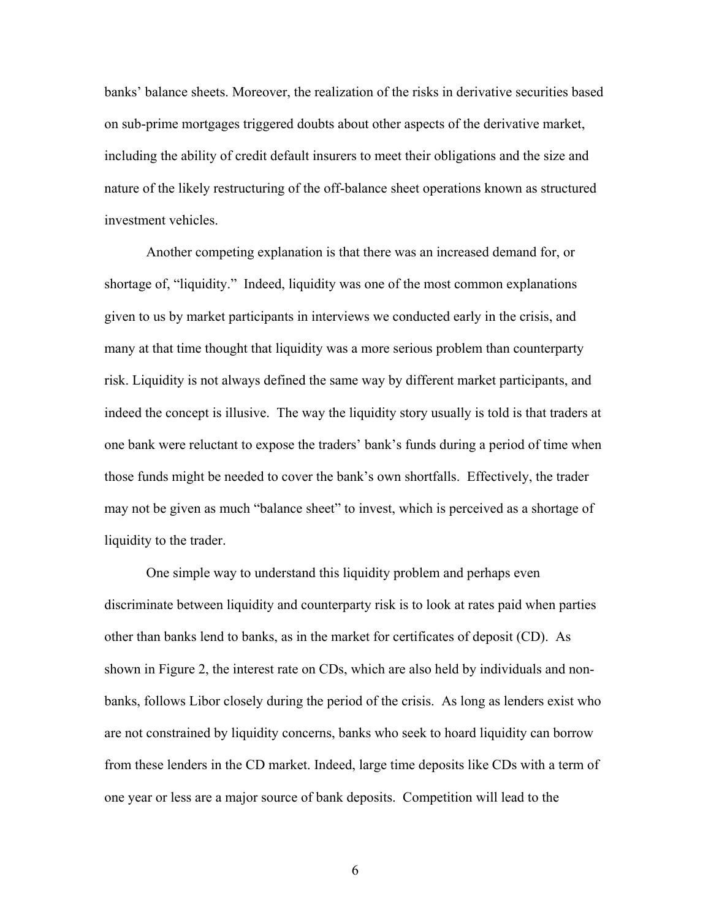banks' balance sheets. Moreover, the realization of the risks in derivative securities based on sub-prime mortgages triggered doubts about other aspects of the derivative market, including the ability of credit default insurers to meet their obligations and the size and nature of the likely restructuring of the off-balance sheet operations known as structured investment vehicles.

 Another competing explanation is that there was an increased demand for, or shortage of, "liquidity." Indeed, liquidity was one of the most common explanations given to us by market participants in interviews we conducted early in the crisis, and many at that time thought that liquidity was a more serious problem than counterparty risk. Liquidity is not always defined the same way by different market participants, and indeed the concept is illusive. The way the liquidity story usually is told is that traders at one bank were reluctant to expose the traders' bank's funds during a period of time when those funds might be needed to cover the bank's own shortfalls. Effectively, the trader may not be given as much "balance sheet" to invest, which is perceived as a shortage of liquidity to the trader.

 One simple way to understand this liquidity problem and perhaps even discriminate between liquidity and counterparty risk is to look at rates paid when parties other than banks lend to banks, as in the market for certificates of deposit (CD). As shown in Figure 2, the interest rate on CDs, which are also held by individuals and nonbanks, follows Libor closely during the period of the crisis. As long as lenders exist who are not constrained by liquidity concerns, banks who seek to hoard liquidity can borrow from these lenders in the CD market. Indeed, large time deposits like CDs with a term of one year or less are a major source of bank deposits. Competition will lead to the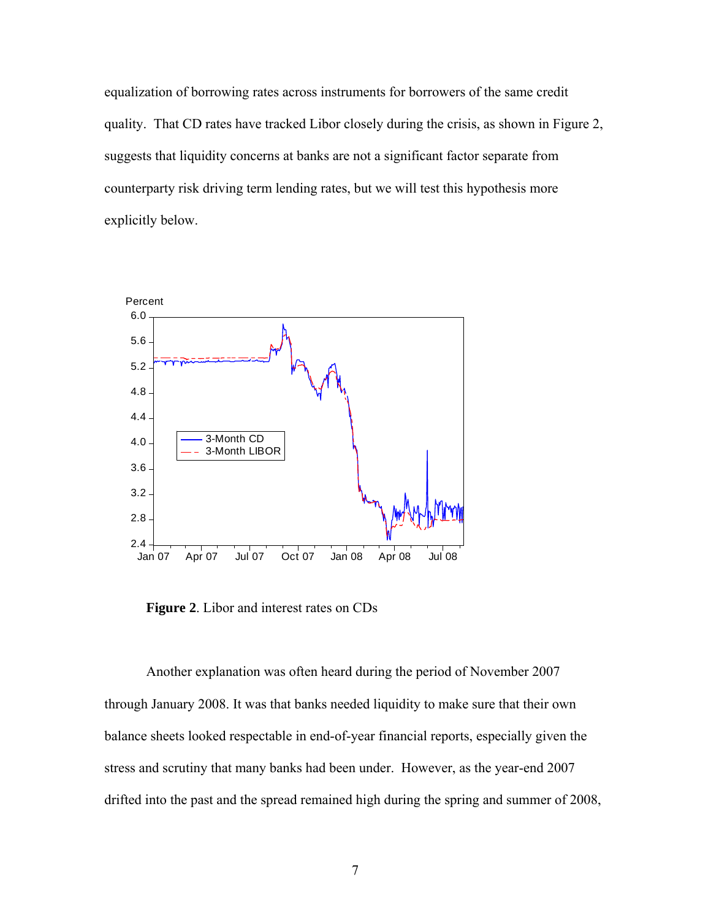equalization of borrowing rates across instruments for borrowers of the same credit quality. That CD rates have tracked Libor closely during the crisis, as shown in Figure 2, suggests that liquidity concerns at banks are not a significant factor separate from counterparty risk driving term lending rates, but we will test this hypothesis more explicitly below.



 **Figure 2**. Libor and interest rates on CDs

 Another explanation was often heard during the period of November 2007 through January 2008. It was that banks needed liquidity to make sure that their own balance sheets looked respectable in end-of-year financial reports, especially given the stress and scrutiny that many banks had been under. However, as the year-end 2007 drifted into the past and the spread remained high during the spring and summer of 2008,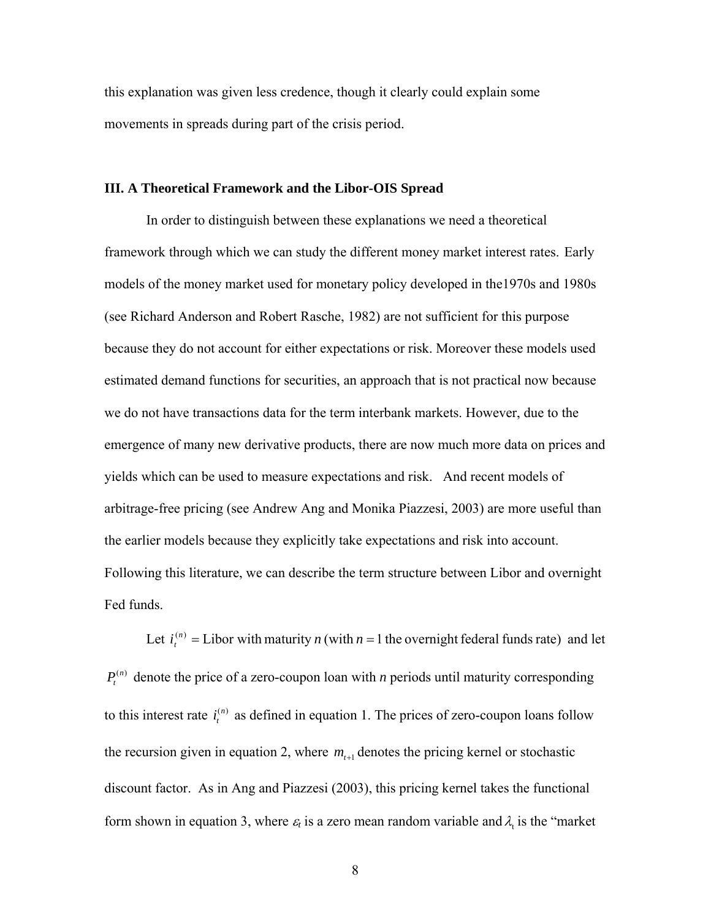this explanation was given less credence, though it clearly could explain some movements in spreads during part of the crisis period.

### **III. A Theoretical Framework and the Libor-OIS Spread**

 In order to distinguish between these explanations we need a theoretical framework through which we can study the different money market interest rates. Early models of the money market used for monetary policy developed in the1970s and 1980s (see Richard Anderson and Robert Rasche, 1982) are not sufficient for this purpose because they do not account for either expectations or risk. Moreover these models used estimated demand functions for securities, an approach that is not practical now because we do not have transactions data for the term interbank markets. However, due to the emergence of many new derivative products, there are now much more data on prices and yields which can be used to measure expectations and risk. And recent models of arbitrage-free pricing (see Andrew Ang and Monika Piazzesi, 2003) are more useful than the earlier models because they explicitly take expectations and risk into account. Following this literature, we can describe the term structure between Libor and overnight Fed funds.

Let  $i_t^{(n)}$  = Libor with maturity *n* (with *n* = 1 the overnight federal funds rate) and let  $P_t^{(n)}$  denote the price of a zero-coupon loan with *n* periods until maturity corresponding to this interest rate  $i_t^{(n)}$  as defined in equation 1. The prices of zero-coupon loans follow the recursion given in equation 2, where  $m_{t+1}$  denotes the pricing kernel or stochastic discount factor. As in Ang and Piazzesi (2003), this pricing kernel takes the functional form shown in equation 3, where  $\varepsilon_t$  is a zero mean random variable and  $\lambda_t$  is the "market"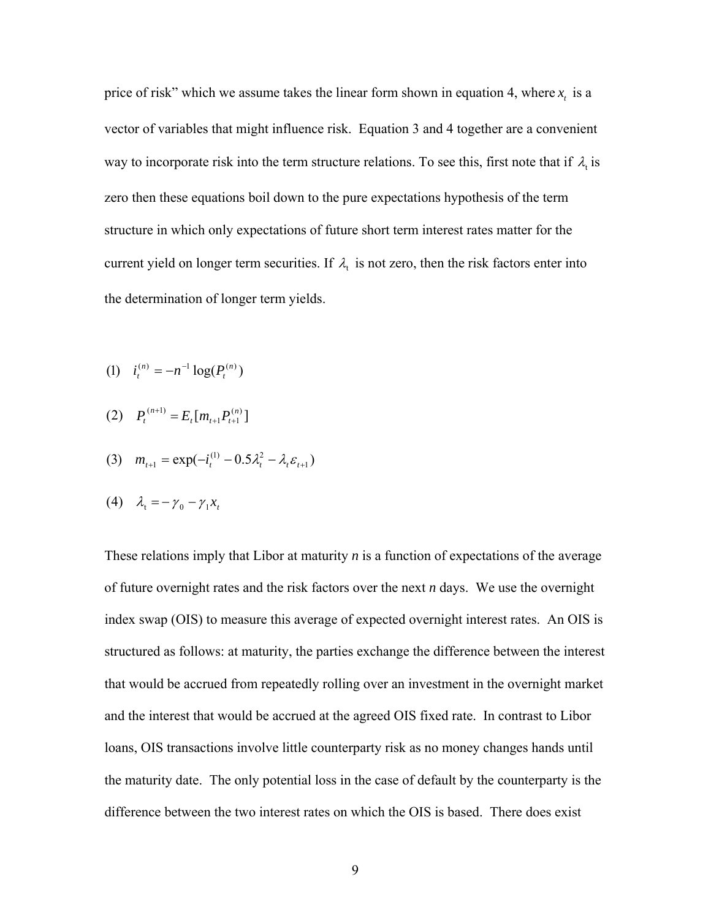price of risk" which we assume takes the linear form shown in equation 4, where  $x_t$  is a vector of variables that might influence risk. Equation 3 and 4 together are a convenient way to incorporate risk into the term structure relations. To see this, first note that if  $\lambda_t$  is zero then these equations boil down to the pure expectations hypothesis of the term structure in which only expectations of future short term interest rates matter for the current yield on longer term securities. If  $\lambda_t$  is not zero, then the risk factors enter into the determination of longer term yields.

- (1)  $i_t^{(n)} = -n^{-1} \log(P_t^{(n)})$ *t n*  $i_t^{(n)} = -n^{-1} \log(P_t)$
- $\sum_{t=1}^{(n+1)} P_{t+1}^{(n+1)} = E_{t} [m_{t+1} P_{t+1}^{(n)}]$  $1$ <sup>*t*</sup>  $t+1$  $(n+1)$  *p p*  $(n+1)$  *p*  $(n+1)$  *p*  $(n+1)$  *p*  $(n+1)$  *p*  $(n+1)$  *p*  $(n+1)$  *p*  $(n+1)$  *p*  $(n+1)$  *p*  $(n+1)$  *p*  $(n+1)$  *p*  $(n+1)$  *p*  $(n+1)$  *p*  $(n+1)$  *p*  $(n+1)$  *p*  $(n+1)$  *p*  $(n+1)$   $t \cdot t$ <sup>tt $\cdot t$ </sup>t<sup>+1</sup> $\cdot t$ *n*  $P_t^{(n+1)} = E_t[m_{t+1}P_{t+1}^{(n)})$ +
- (3)  $m_{t+1} = \exp(-i_t^{(1)} 0.5\lambda_t^2 \lambda_t \varepsilon_{t+1})$ (1)  $0.52^2$  $m_{t+1} = \exp(-i_t^{(1)} - 0.5\lambda_t^2 - \lambda_t \varepsilon_{t+1})$

$$
(4) \quad \lambda_t = -\gamma_0 - \gamma_1 x_t
$$

These relations imply that Libor at maturity *n* is a function of expectations of the average of future overnight rates and the risk factors over the next *n* days. We use the overnight index swap (OIS) to measure this average of expected overnight interest rates. An OIS is structured as follows: at maturity, the parties exchange the difference between the interest that would be accrued from repeatedly rolling over an investment in the overnight market and the interest that would be accrued at the agreed OIS fixed rate. In contrast to Libor loans, OIS transactions involve little counterparty risk as no money changes hands until the maturity date. The only potential loss in the case of default by the counterparty is the difference between the two interest rates on which the OIS is based. There does exist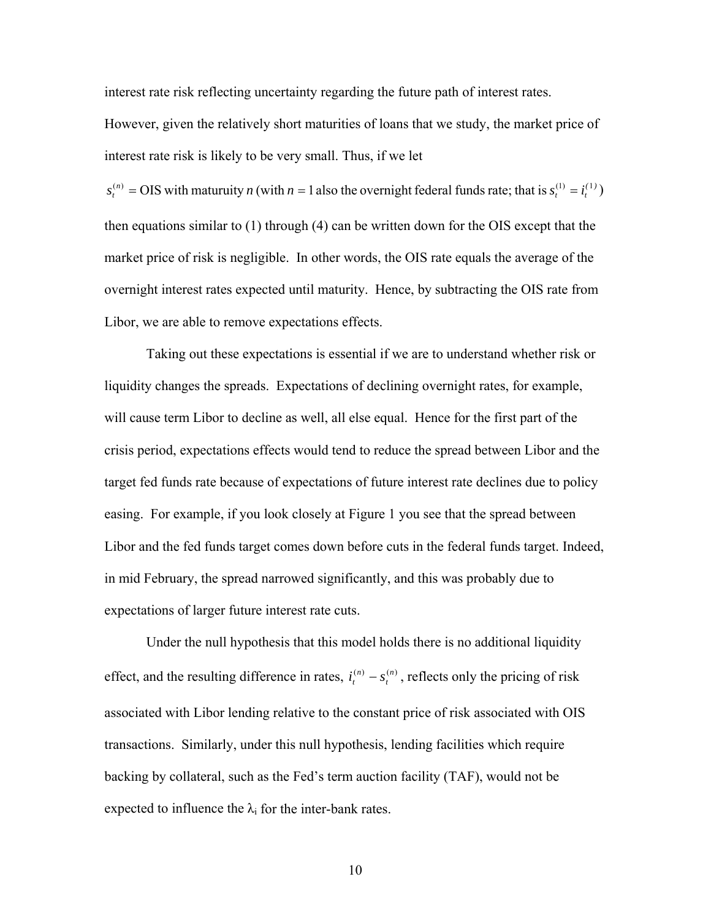interest rate risk reflecting uncertainty regarding the future path of interest rates.

However, given the relatively short maturities of loans that we study, the market price of interest rate risk is likely to be very small. Thus, if we let

) *)(* then equations similar to (1) through (4) can be written down for the OIS except that the market price of risk is negligible. In other words, the OIS rate equals the average of the overnight interest rates expected until maturity. Hence, by subtracting the OIS rate from Libor, we are able to remove expectations effects.  $\mathbf{r} = \mathbf{r}_t$  $s_t^{(n)} = OIS$  with maturuity n (with  $n = 1$  also the overnight federal funds rate; that is  $s_t^{(1)} = i_t^{(1)}$ 

 Taking out these expectations is essential if we are to understand whether risk or liquidity changes the spreads. Expectations of declining overnight rates, for example, will cause term Libor to decline as well, all else equal. Hence for the first part of the crisis period, expectations effects would tend to reduce the spread between Libor and the target fed funds rate because of expectations of future interest rate declines due to policy easing. For example, if you look closely at Figure 1 you see that the spread between Libor and the fed funds target comes down before cuts in the federal funds target. Indeed, in mid February, the spread narrowed significantly, and this was probably due to expectations of larger future interest rate cuts.

Under the null hypothesis that this model holds there is no additional liquidity effect, and the resulting difference in rates,  $i_t^{(n)} - s_t^{(n)}$ , reflects only the pricing of risk associated with Libor lending relative to the constant price of risk associated with OIS transactions. Similarly, under this null hypothesis, lending facilities which require backing by collateral, such as the Fed's term auction facility (TAF), would not be expected to influence the  $\lambda_i$  for the inter-bank rates. *t*  $i_t^{(n)} - s$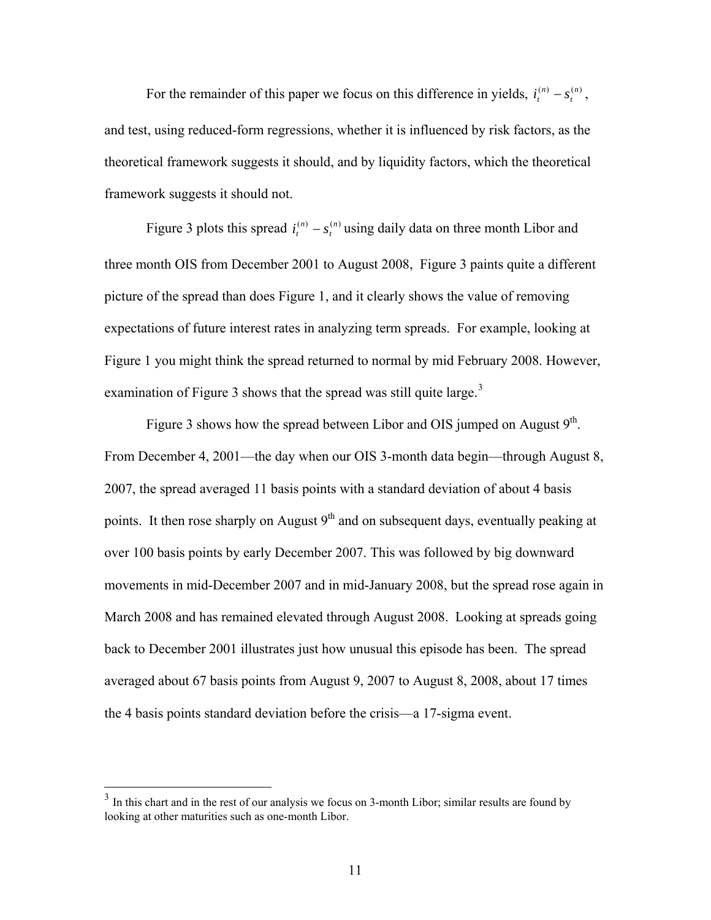For the remainder of this paper we focus on this difference in yields,  $i_t^{(n)} - s_t^{(n)}$ , and test, using reduced-form regressions, whether it is influenced by risk factors, as the theoretical framework suggests it should, and by liquidity factors, which the theoretical framework suggests it should not. *t*  $i_t^{(n)} - s$ 

Figure 3 plots this spread  $i_t^{(n)} - s_t^{(n)}$  using daily data on three month Libor and three month OIS from December 2001 to August 2008, Figure 3 paints quite a different picture of the spread than does Figure 1, and it clearly shows the value of removing expectations of future interest rates in analyzing term spreads. For example, looking at Figure 1 you might think the spread returned to normal by mid February 2008. However, examination of Figure [3](#page-11-0) shows that the spread was still quite large.<sup>3</sup> *t*  $i_t^{(n)} - s$ 

Figure 3 shows how the spread between Libor and OIS jumped on August  $9<sup>th</sup>$ . From December 4, 2001—the day when our OIS 3-month data begin—through August 8, 2007, the spread averaged 11 basis points with a standard deviation of about 4 basis points. It then rose sharply on August  $9<sup>th</sup>$  and on subsequent days, eventually peaking at over 100 basis points by early December 2007. This was followed by big downward movements in mid-December 2007 and in mid-January 2008, but the spread rose again in March 2008 and has remained elevated through August 2008. Looking at spreads going back to December 2001 illustrates just how unusual this episode has been. The spread averaged about 67 basis points from August 9, 2007 to August 8, 2008, about 17 times the 4 basis points standard deviation before the crisis—a 17-sigma event.

 $\overline{a}$ 

<span id="page-11-0"></span> $3$  In this chart and in the rest of our analysis we focus on 3-month Libor; similar results are found by looking at other maturities such as one-month Libor.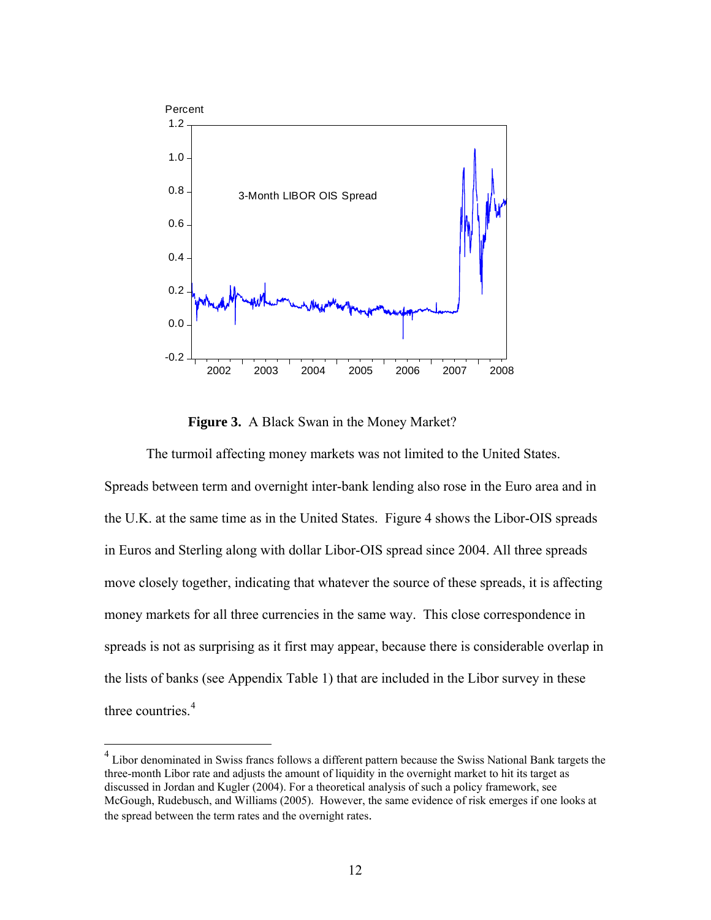

 **Figure 3.** A Black Swan in the Money Market?

 The turmoil affecting money markets was not limited to the United States. Spreads between term and overnight inter-bank lending also rose in the Euro area and in the U.K. at the same time as in the United States. Figure 4 shows the Libor-OIS spreads in Euros and Sterling along with dollar Libor-OIS spread since 2004. All three spreads move closely together, indicating that whatever the source of these spreads, it is affecting money markets for all three currencies in the same way. This close correspondence in spreads is not as surprising as it first may appear, because there is considerable overlap in the lists of banks (see Appendix Table 1) that are included in the Libor survey in these three countries.<sup>[4](#page-12-0)</sup>

<span id="page-12-0"></span> 4 Libor denominated in Swiss francs follows a different pattern because the Swiss National Bank targets the McGough, Rudebusch, and Williams (2005). However, the same evidence of risk emerges if one looks at three-month Libor rate and adjusts the amount of liquidity in the overnight market to hit its target as discussed in Jordan and Kugler (2004). For a theoretical analysis of such a policy framework, see the spread between the term rates and the overnight rates.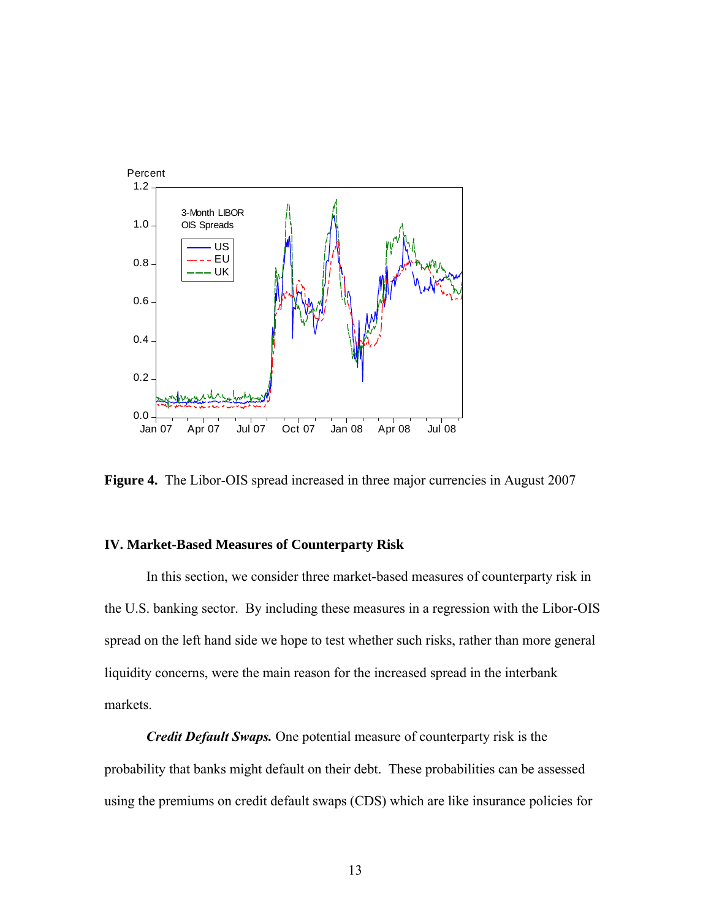

**Figure 4.** The Libor-OIS spread increased in three major currencies in August 2007

# **IV. Market-Based Measures of Counterparty Risk**

 In this section, we consider three market-based measures of counterparty risk in the U.S. banking sector. By including these measures in a regression with the Libor-OIS spread on the left hand side we hope to test whether such risks, rather than more general liquidity concerns, were the main reason for the increased spread in the interbank markets.

*Credit Default Swaps.* One potential measure of counterparty risk is the probability that banks might default on their debt. These probabilities can be assessed using the premiums on credit default swaps (CDS) which are like insurance policies for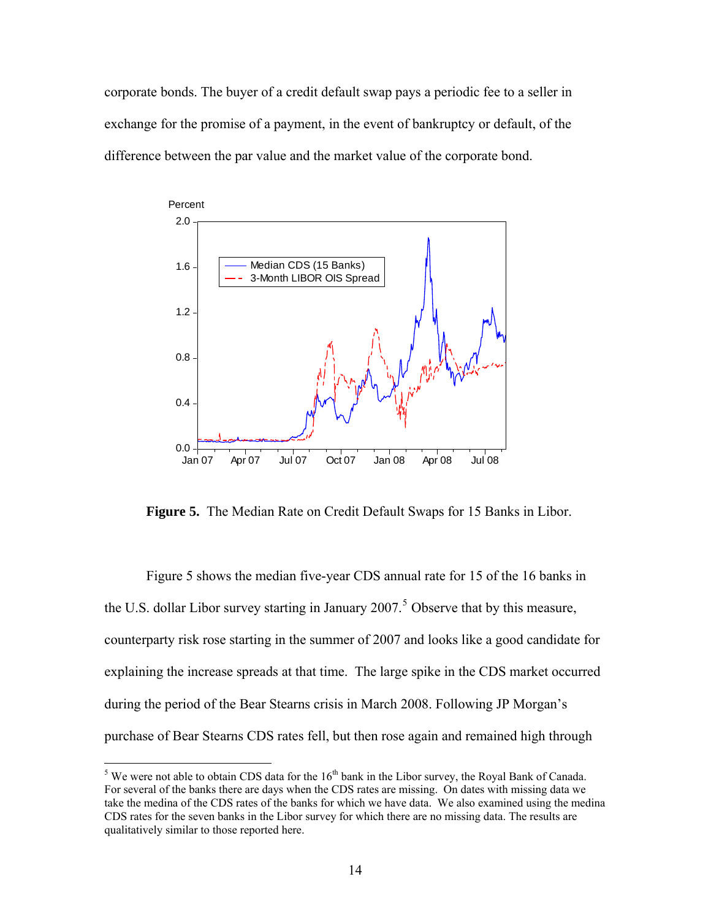corporate bonds. The buyer of a credit default swap pays a periodic fee to a seller in exchange for the promise of a payment, in the event of bankruptcy or default, of the difference between the par value and the market value of the corporate bond.



**Figure 5.** The Median Rate on Credit Default Swaps for 15 Banks in Libor.

Figure 5 shows the median five-year CDS annual rate for 15 of the 16 banks in counterparty risk rose starting in the summer of 2007 and looks like a good candidate for purchase of Bear Stearns CDS rates fell, but then rose again and remained high through the U.S. dollar Libor survey starting in January  $2007$ .<sup>[5](#page-14-0)</sup> Observe that by this measure, explaining the increase spreads at that time. The large spike in the CDS market occurred during the period of the Bear Stearns crisis in March 2008. Following JP Morgan's

<span id="page-14-0"></span><sup>&</sup>lt;sup>5</sup> We were not able to obtain CDS data for the  $16<sup>th</sup>$  bank in the Libor survey, the Royal Bank of Canada. For several of the banks there are days when the CDS rates are missing. On dates with missing data we take the medina of the CDS rates of the banks for which we have data. We also examined using the medina CDS rates for the seven banks in the Libor survey for which there are no missing data. The results are qualitatively similar to those reported here.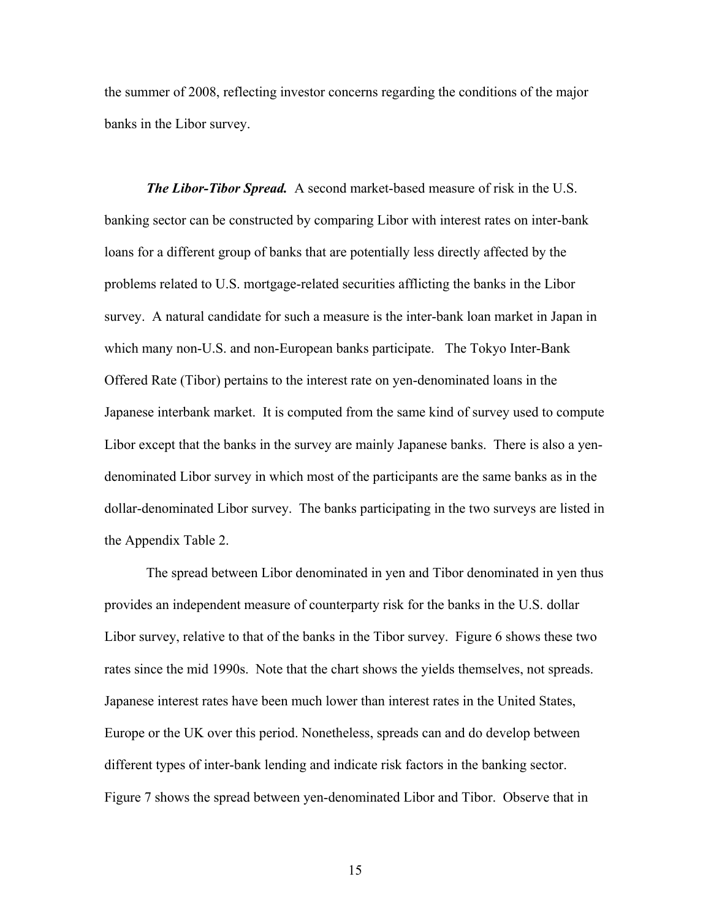the summer of 2008, reflecting investor concerns regarding the conditions of the major banks in the Libor survey.

*The Libor-Tibor Spread.* A second market-based measure of risk in the U.S. survey. A natural candidate for such a measure is the inter-bank loan market in Japan in Japanese interbank market. It is computed from the same kind of survey used to compute banking sector can be constructed by comparing Libor with interest rates on inter-bank loans for a different group of banks that are potentially less directly affected by the problems related to U.S. mortgage-related securities afflicting the banks in the Libor which many non-U.S. and non-European banks participate. The Tokyo Inter-Bank Offered Rate (Tibor) pertains to the interest rate on yen-denominated loans in the Libor except that the banks in the survey are mainly Japanese banks. There is also a yendenominated Libor survey in which most of the participants are the same banks as in the dollar-denominated Libor survey. The banks participating in the two surveys are listed in the Appendix Table 2.

The spread between Libor denominated in yen and Tibor denominated in yen thus Libor survey, relative to that of the banks in the Tibor survey. Figure 6 shows these two Figure 7 shows the spread between yen-denominated Libor and Tibor. Observe that in provides an independent measure of counterparty risk for the banks in the U.S. dollar rates since the mid 1990s. Note that the chart shows the yields themselves, not spreads. Japanese interest rates have been much lower than interest rates in the United States, Europe or the UK over this period. Nonetheless, spreads can and do develop between different types of inter-bank lending and indicate risk factors in the banking sector.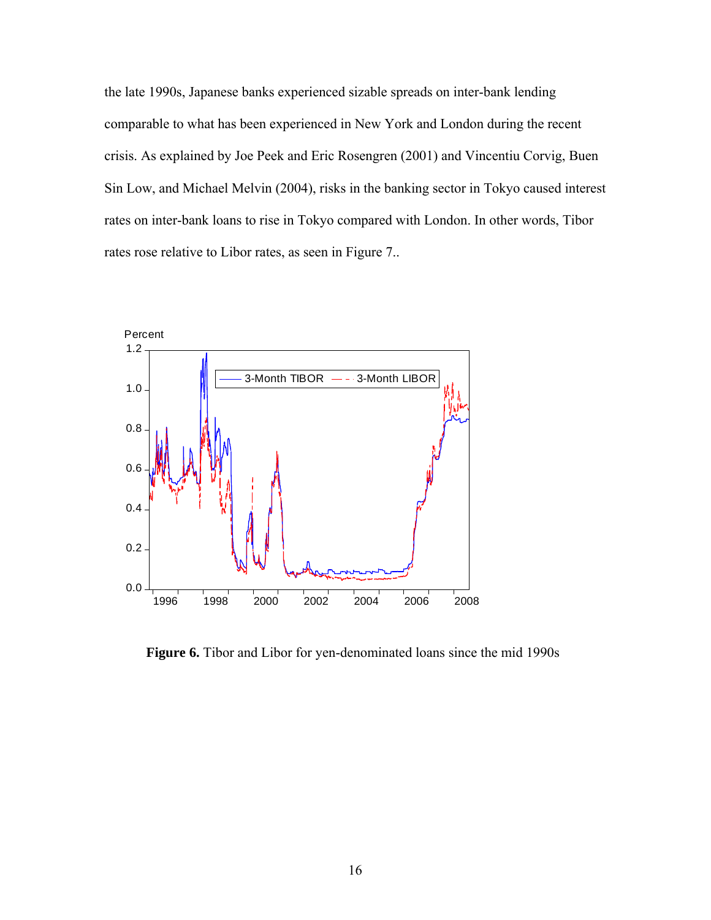the late 1990s, Japanese banks experienced sizable spreads on inter-bank lending comparable to what has been experienced in New York and London during the rec ent crisis. As explained by Joe Peek and Eric Rosengren (2001) and Vincentiu Corvig, Bue n Sin Low, and Michael Melvin (2004), risks in the banking sector in Tokyo caused interest rates on inter-bank loans to rise in Tokyo compared with London. In other words, Tibor rates rose relative to Libor rates, as seen in Figure 7..



 **Figure 6.** Tibor and Libor for yen-denominated loans since the mid 1990s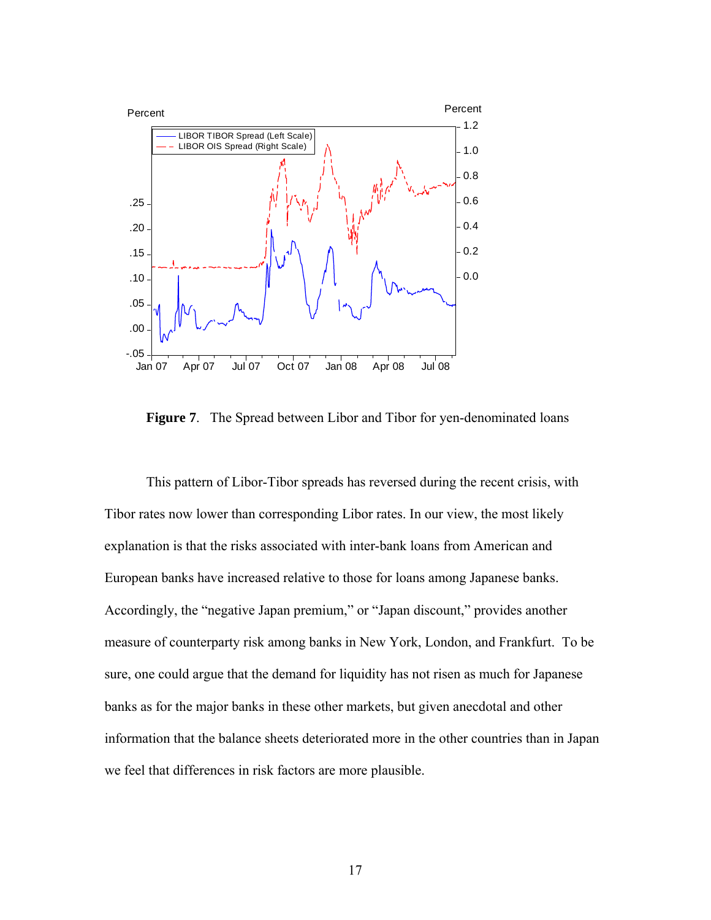

**Figure 7**. The Spread between Libor and Tibor for yen-denominated loans

This pattern of Libor-Tibor spreads has reversed during the recent crisis, with Tibor rates now lower than corresponding Libor rates. In our view, the most likely explanation is that the risks associated with inter-bank loans from American and European banks have increased relative to those for loans among Japanese banks. Accordingly, the "negative Japan premium," or "Japan discount," provides another measure of counterparty risk among banks in New York, London, and Frankfurt. To be sure, one could argue that the demand for liquidity has not risen as much for Japanese banks as for the major banks in these other markets, but given anecdotal and other information that the balance sheets deteriorated more in the other countries than in Japan we feel that differences in risk factors are more plausible.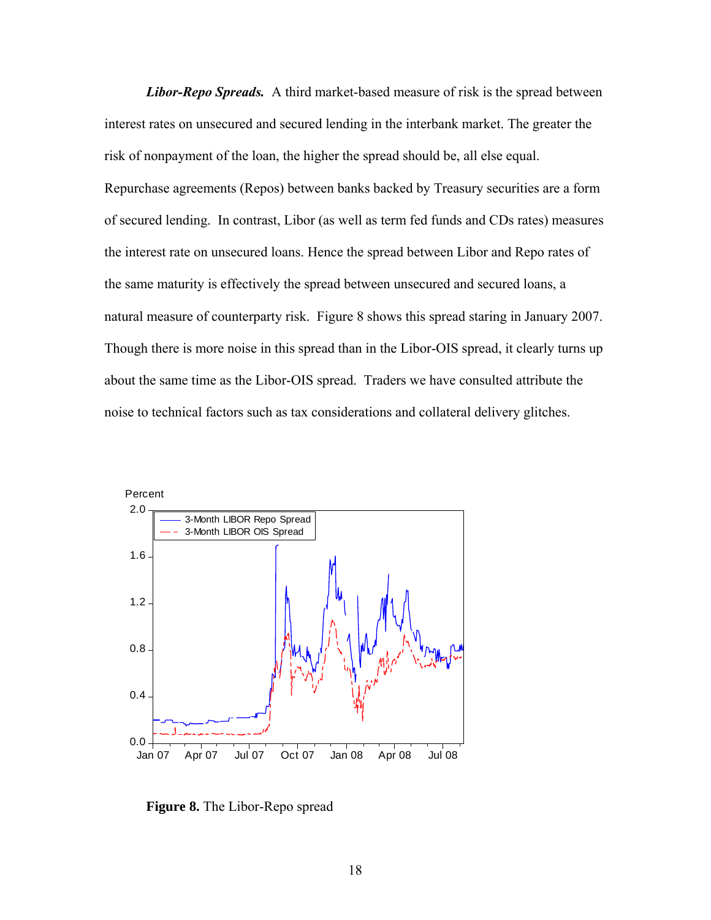*Libor-Repo Spreads.* A third market-based measure of risk is the spread between interest rates on unsecured and secured lending in the interbank market. The greater the risk of nonpayment of the loan, the higher the spread should be, all else equal. Repurchase agreements (Repos) between banks backed by Treasury securities are a form of secured lending. In contrast, Libor (as well as term fed funds and CDs rates) measures the interest rate on unsecured loans. Hence the spread between Libor and Repo rates of the same maturity is effectively the spread between unsecured and secured loans, a natural measure of counterparty risk. Figure 8 shows this spread staring in January 2007. Though there is more noise in this spread than in the Libor-OIS spread, it clearly turns up about the same time as the Libor-OIS spread. Traders we have consulted attribute the noise to technical factors such as tax considerations and collateral delivery glitches.



 **Figure 8.** The Libor-Repo spread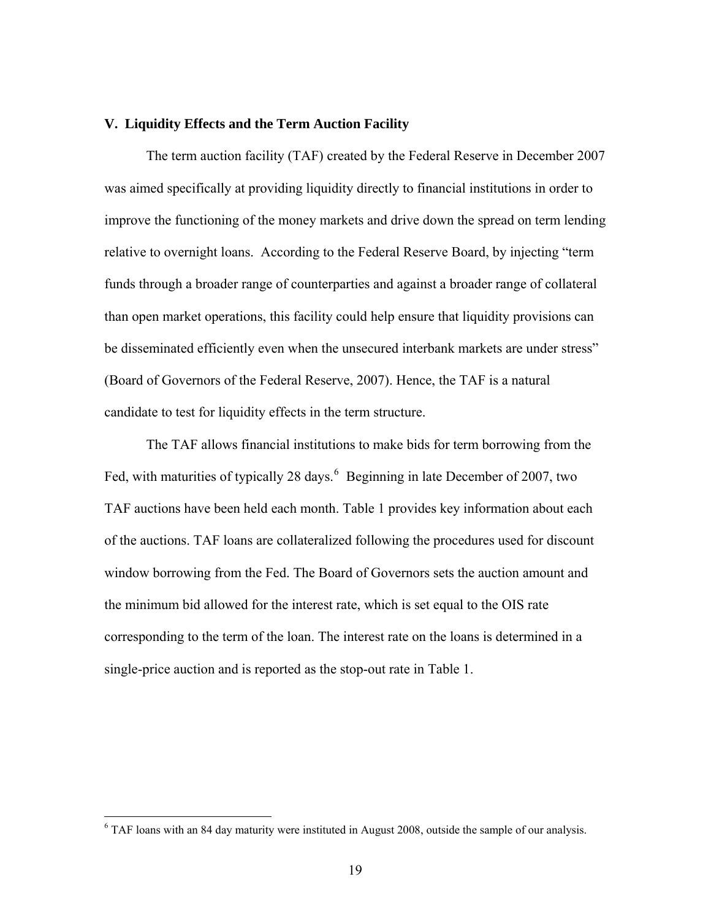# **V. Liquidity Effects and the Term Auction Facility**

 The term auction facility (TAF) created by the Federal Reserve in December 2007 was aimed specifically at providing liquidity directly to financial institutions in order to improve the functioning of the money markets and drive down the spread on term lending relative to overnight loans. According to the Federal Reserve Board, by injecting "term funds through a broader range of counterparties and against a broader range of collateral than open market operations, this facility could help ensure that liquidity provisions can be disseminated efficiently even when the unsecured interbank markets are under stress" (Board of Governors of the Federal Reserve, 2007). Hence, the TAF is a natural candidate to test for liquidity effects in the term structure.

The TAF allows financial institutions to make bids for term borrowing from the Fed, with maturities of typically 28 days.  $6$  Beginning in late December of 2007, two TAF auctions have been held each month. Table 1 provides key information about each of the auctions. TAF loans are collateralized following the procedures used for dis count window borrowing from the Fed. The Board of Governors sets the auction amount and the minimum bid allowed for the interest rate, which is set equal to the OIS rate corresponding to the term of the loan. The interest rate on the loans is determined in a single-price auction and is reported as the stop-out rate in Table 1.

<span id="page-19-0"></span> $6$  TAF loans with an 84 day maturity were instituted in August 2008, outside the sample of our analysis.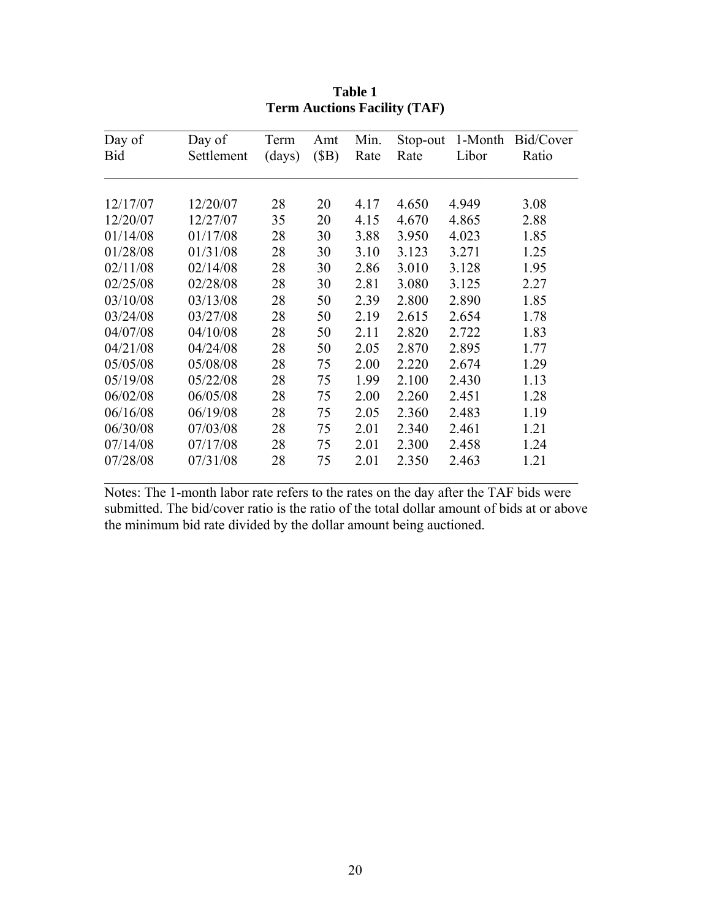| Day of   | Day of     | Term   | Amt  | Min. | Stop-out | 1-Month | Bid/Cover |
|----------|------------|--------|------|------|----------|---------|-----------|
| Bid      | Settlement | (days) | (SB) | Rate | Rate     | Libor   | Ratio     |
|          |            |        |      |      |          |         |           |
| 12/17/07 | 12/20/07   | 28     | 20   | 4.17 | 4.650    | 4.949   | 3.08      |
| 12/20/07 | 12/27/07   | 35     | 20   | 4.15 | 4.670    | 4.865   | 2.88      |
| 01/14/08 | 01/17/08   | 28     | 30   | 3.88 | 3.950    | 4.023   | 1.85      |
| 01/28/08 | 01/31/08   | 28     | 30   | 3.10 | 3.123    | 3.271   | 1.25      |
| 02/11/08 | 02/14/08   | 28     | 30   | 2.86 | 3.010    | 3.128   | 1.95      |
| 02/25/08 | 02/28/08   | 28     | 30   | 2.81 | 3.080    | 3.125   | 2.27      |
| 03/10/08 | 03/13/08   | 28     | 50   | 2.39 | 2.800    | 2.890   | 1.85      |
| 03/24/08 | 03/27/08   | 28     | 50   | 2.19 | 2.615    | 2.654   | 1.78      |
| 04/07/08 | 04/10/08   | 28     | 50   | 2.11 | 2.820    | 2.722   | 1.83      |
| 04/21/08 | 04/24/08   | 28     | 50   | 2.05 | 2.870    | 2.895   | 1.77      |
| 05/05/08 | 05/08/08   | 28     | 75   | 2.00 | 2.220    | 2.674   | 1.29      |
| 05/19/08 | 05/22/08   | 28     | 75   | 1.99 | 2.100    | 2.430   | 1.13      |
| 06/02/08 | 06/05/08   | 28     | 75   | 2.00 | 2.260    | 2.451   | 1.28      |
| 06/16/08 | 06/19/08   | 28     | 75   | 2.05 | 2.360    | 2.483   | 1.19      |
| 06/30/08 | 07/03/08   | 28     | 75   | 2.01 | 2.340    | 2.461   | 1.21      |
| 07/14/08 | 07/17/08   | 28     | 75   | 2.01 | 2.300    | 2.458   | 1.24      |
| 07/28/08 | 07/31/08   | 28     | 75   | 2.01 | 2.350    | 2.463   | 1.21      |

| Table 1                             |
|-------------------------------------|
| <b>Term Auctions Facility (TAF)</b> |

Notes: The 1-month labor rate refers to the rates on the day after the TAF bids were submitted. The bid/cover ratio is the ratio of the total dollar amount of bids at or above the minimum bid rate divided by the dollar amount being auctioned.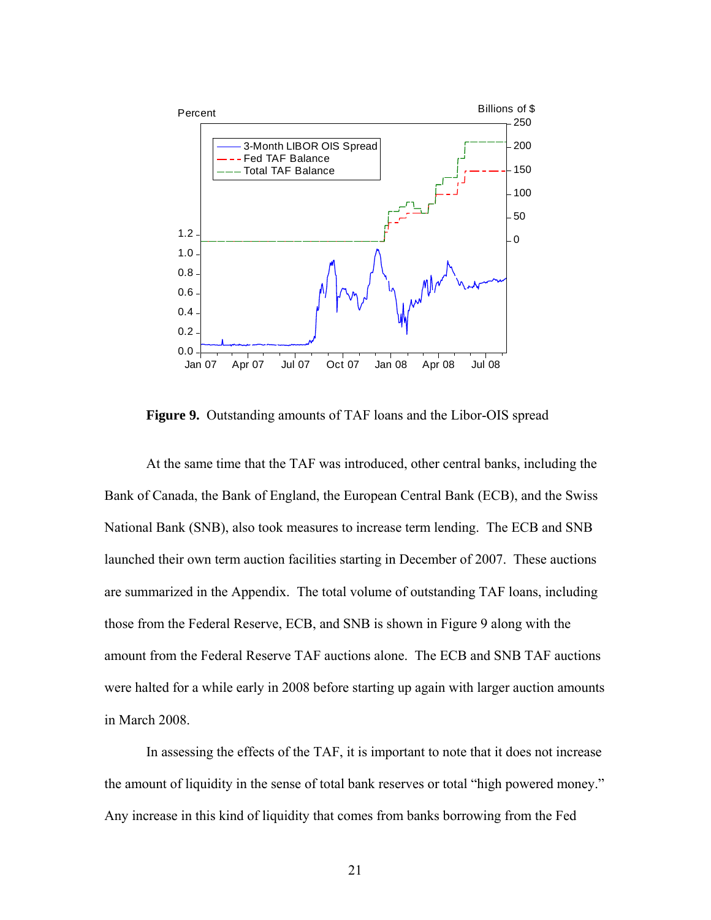

 **Figure 9.** Outstanding amounts of TAF loans and the Libor-OIS spread

 At the same time that the TAF was introduced, other central banks, including the Bank of Canada, the Bank of England, the European Central Bank (ECB), and the Swiss National Bank (SNB), also took measures to increase term lending. The ECB and SNB launched their own term auction facilities starting in December of 2007. These auctions are summarized in the Appendix. The total volume of outstanding TAF loans, including those from the Federal Reserve, ECB, and SNB is shown in Figure 9 along with the amount from the Federal Reserve TAF auctions alone. The ECB and SNB TAF auctions were halted for a while early in 2008 before starting up again with larger auction amounts in March 2008.

In assessing the effects of the TAF, it is important to note that it does not increase the amount of liquidity in the sense of total bank reserves or total "high powered money." Any increase in this kind of liquidity that comes from banks borrowing from the Fed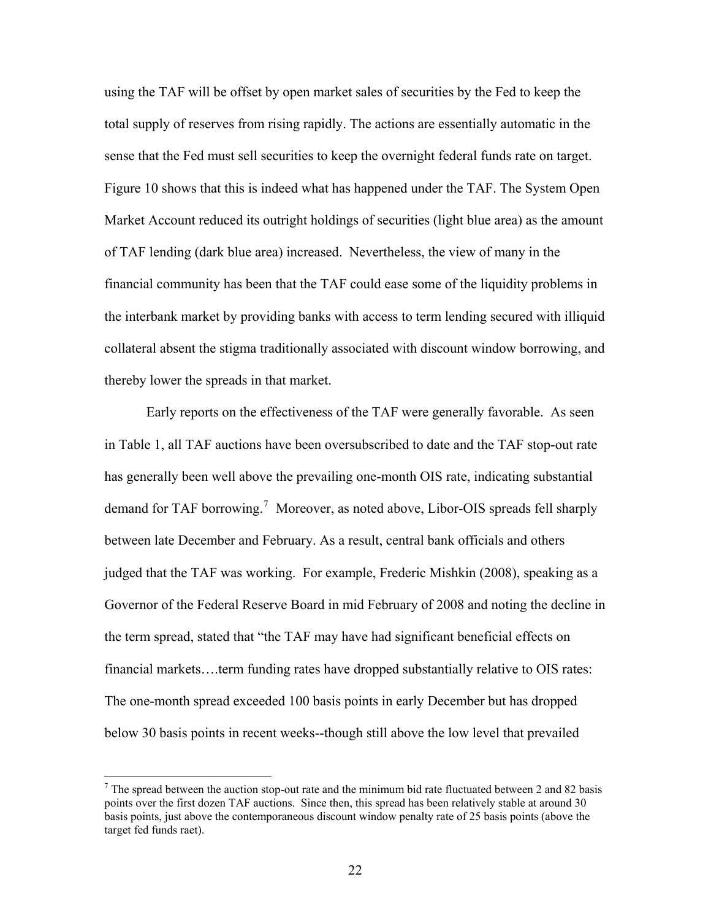using the TAF will be offset by open market sales of securities by the Fed to keep the total supply of reserves from rising rapidly. The actions are essentially automatic in the sense that the Fed must sell securities to keep the overnight federal funds rate on target. Figure 10 shows that this is indeed what has happened under the TAF. The System Open Market Account reduced its outright holdings of securities (light blue area) as the amount of TAF lending (dark blue area) increased. Nevertheless, the view of many in the financial community has been that the TAF could ease some of the liquidity problems in the interbank market by providing banks with access to term lending secured with illiquid collateral absent the stigma traditionally associated with discount window borrowing, and thereby lower the spreads in that market.

Early reports on the effectiveness of the TAF were generally favorable. As seen in Table 1, all TAF auctions have been oversubscribed to date and the TAF stop-out rate has generally been well above the prevailing one-month OIS rate, indicating substantial demand for TAF borrowing.<sup>[7](#page-22-0)</sup> Moreover, as noted above, Libor-OIS spreads fell sharply between late December and February. As a result, central bank officials and others judged that the TAF was working. For example, Frederic Mishkin (2008), speaking as a Governor of the Federal Reserve Board in mid February of 2008 and noting the decline in the term spread, stated that "the TAF may have had significant beneficial effects on financial markets....term funding rates have dropped substantially relative to OIS rates: The one-month spread exceeded 100 basis points in early December but has dropped below 30 basis points in recent weeks--though still above the low level that prevailed

 $\overline{a}$ 

<span id="page-22-0"></span> $<sup>7</sup>$  The spread between the auction stop-out rate and the minimum bid rate fluctuated between 2 and 82 basis</sup> points over the first dozen TAF auctions. Since then, this spread has been relatively stable at around 30 basis points, just above the contemporaneous discount window penalty rate of 25 basis points (above the target fed funds raet).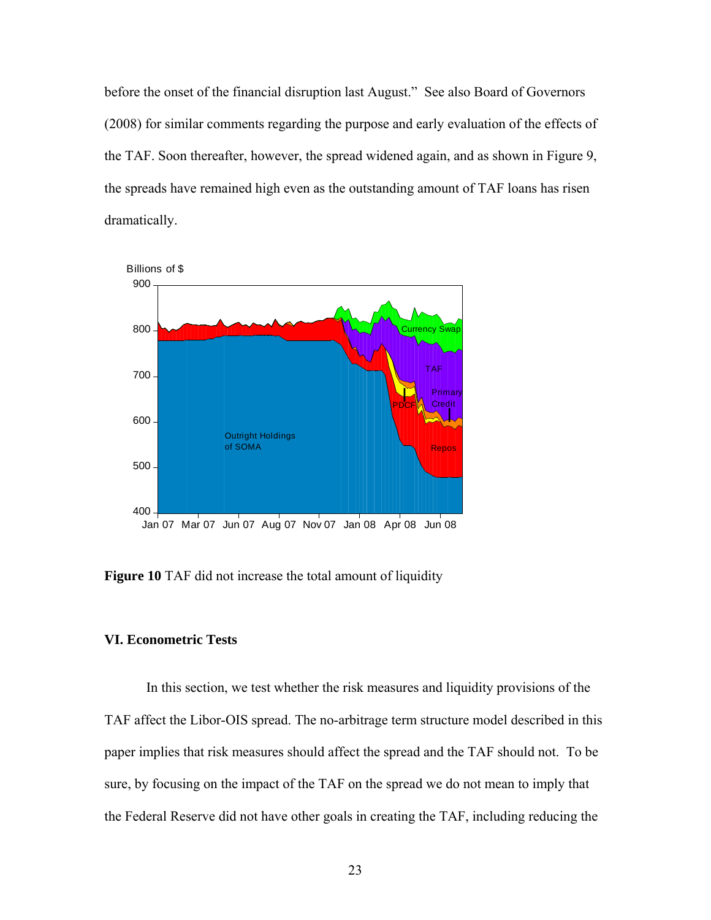before the onset of the financial disruption last August." See also Board of Governors (2008) for similar comments regarding the purpose and early evaluation of the effects of the TAF. Soon thereafter, however, the spread widened again, and as shown in Figure 9, the spreads have remained high even as the outstanding amount of TAF loans has risen dramatically.



**Figure 10** TAF did not increase the total amount of liquidity

## **VI. Econometric Tests**

In this section, we test whether the risk measures and liquidity provisions of the TAF affect the Libor-OIS spread. The no-arbitrage term structure model described in this paper implies that risk measures should affect the spread and the TAF should not. To be sure, by focusing on the impact of the TAF on the spread we do not mean to imply that the Federal Reserve did not have other goals in creating the TAF, including reducing the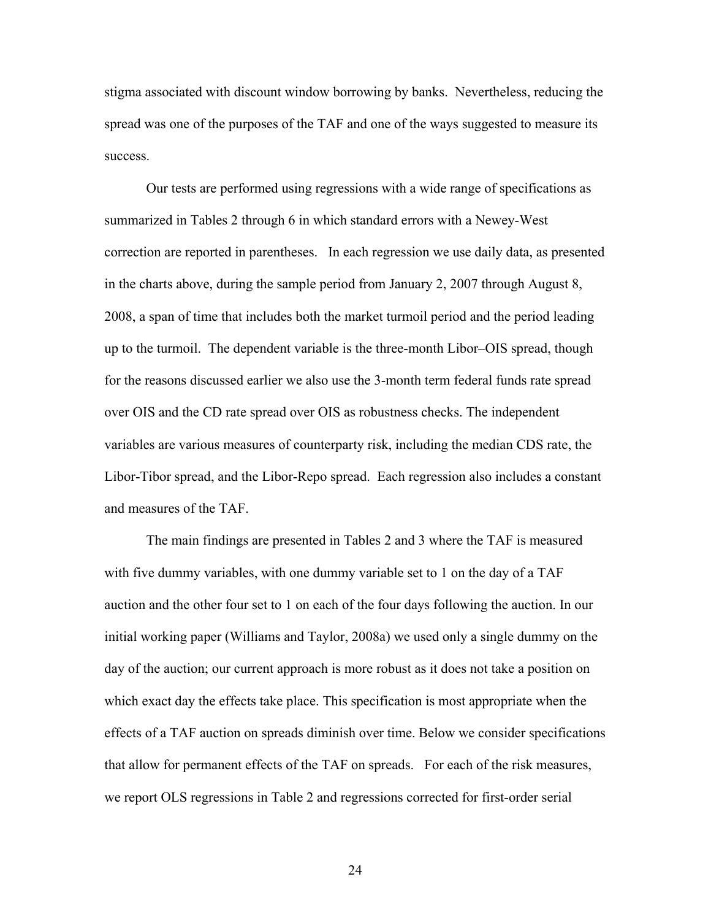stigma associated with discount window borrowing by banks. Nevertheless, reducing the spread was one of the purposes of the TAF and one of the ways suggested to measure its success.

 Our tests are performed using regressions with a wide range of specifications as summarized in Tables 2 through 6 in which standard errors with a Newey-West correction are reported in parentheses. In each regression we use daily data, as presented in the charts above, during the sample period from January 2, 2007 through August 8, 2008, a span of time that includes both the market turmoil period and the period leading up to the turmoil. The dependent variable is the three-month Libor–OIS spread, though for the reasons discussed earlier we also use the 3-month term federal funds rate spread over OIS and the CD rate spread over OIS as robustness checks. The independent variables are various measures of counterparty risk, including the median CDS rate, the Libor-Tibor spread, and the Libor-Repo spread. Each regression also includes a constant and measures of the TAF.

 The main findings are presented in Tables 2 and 3 where the TAF is measured with five dummy variables, with one dummy variable set to 1 on the day of a TAF auction and the other four set to 1 on each of the four days following the auction. In our initial working paper (Williams and Taylor, 2008a) we used only a single dummy on the day of the auction; our current approach is more robust as it does not take a position on which exact day the effects take place. This specification is most appropriate when the effects of a TAF auction on spreads diminish over time. Below we consider specifications that allow for permanent effects of the TAF on spreads. For each of the risk measures, we report OLS regressions in Table 2 and regressions corrected for first-order serial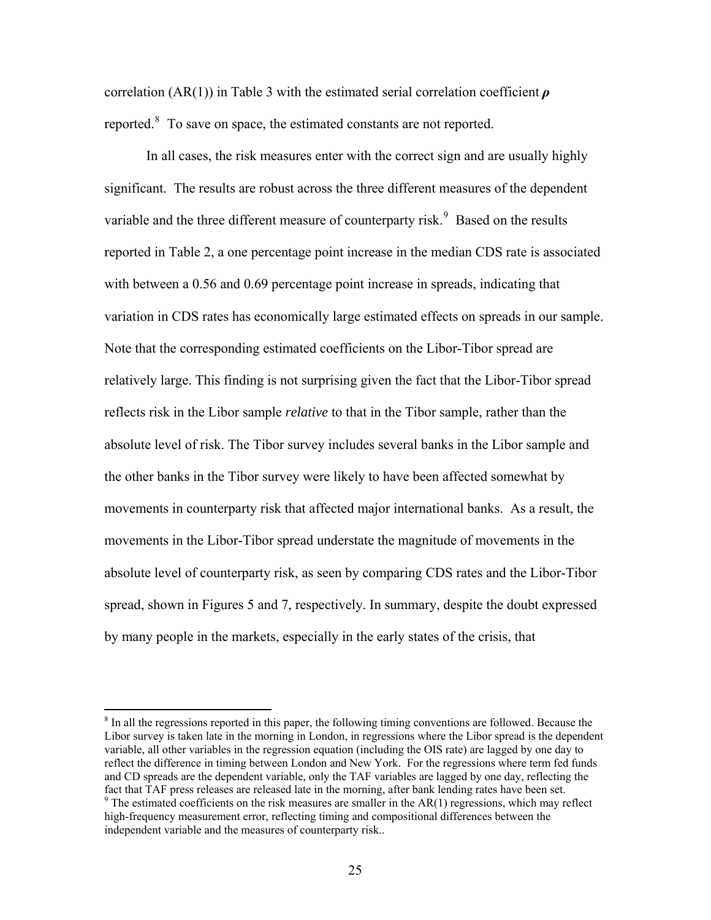correlation (AR(1)) in Table 3 with the estimated serial correlation coefficient *ρ* reported. $8$  To save on space, the estimated constants are not reported.

In all cases, the risk measures enter with the correct sign and are usually highly significant. The results are robust across the three different measures of the dependent variable and the three different measure of counterparty risk.<sup>[9](#page-25-1)</sup> Based on the results reported in Table 2, a one percentage point increase in the median CDS rate is associated with between a 0.56 and 0.69 percentage point increase in spreads, indicating that variation in CDS rates has economically large estimated effects on spreads in our sample. Note that the corresponding estimated coefficients on the Libor-Tibor spread are relatively large. This finding is not surprising given the fact that the Libor-Tibor spread reflects risk in the Libor sample *relative* to that in the Tibor sample, rather than the absolute level of risk. The Tibor survey includes several banks in the Libor sample and the other banks in the Tibor survey were likely to have been affected somewhat by movements in counterparty risk that affected major international banks. As a result, the movements in the Libor-Tibor spread understate the magnitude of movements in the absolute level of counterparty risk, as seen by comparing CDS rates and the Libor-Tibor spread, shown in Figures 5 and 7, respectively. In summary, despite the doubt expressed by many people in the markets, especially in the early states of the crisis, that

<span id="page-25-0"></span><sup>&</sup>lt;sup>8</sup> In all the regressions reported in this paper, the following timing conventions are followed. Because the Libor survey is taken late in the morning in London, in regressions where the Libor spread is the dependent variable, all other variables in the regression equation (including the OIS rate) are lagged by one day to reflect the difference in timing between London and New York. For the regressions where term fed funds and CD spreads are the dependent variable, only the TAF variables are lagged by one day, reflecting the fact that TAF press releases are released late in the morning, after bank lending rates have been set.

<span id="page-25-1"></span> $9$  The estimated coefficients on the risk measures are smaller in the AR(1) regressions, which may reflect high-frequency measurement error, reflecting timing and compositional differences between the independent variable and the measures of counterparty risk..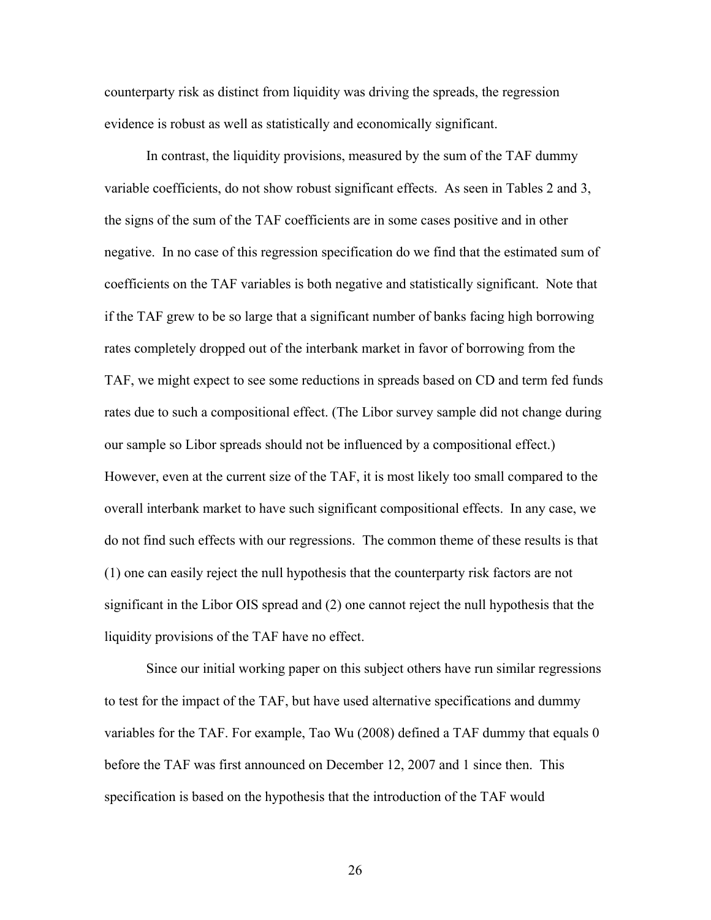counterparty risk as distinct from liquidity was driving the spreads, the regression evidence is robust as well as statistically and economically significant.

In contrast, the liquidity provisions, measured by the sum of the TAF dummy variable coefficients, do not show robust significant effects. As seen in Tables 2 and 3, the signs of the sum of the TAF coefficients are in some cases positive and in other negative. In no case of this regression specification do we find that the estimated sum of coefficients on the TAF variables is both negative and statistically significant. Note that if the TAF grew to be so large that a significant number of banks facing high borrowing rates completely dropped out of the interbank market in favor of borrowing from the TAF, we might expect to see some reductions in spreads based on CD and term fed funds rates due to such a compositional effect. (The Libor survey sample did not change during our sample so Libor spreads should not be influenced by a compositional effect.) However, even at the current size of the TAF, it is most likely too small compared to the overall interbank market to have such significant compositional effects. In any case, we do not find such effects with our regressions. The common theme of these results is that (1) one can easily reject the null hypothesis that the counterparty risk factors are not significant in the Libor OIS spread and (2) one cannot reject the null hypothesis that the liquidity provisions of the TAF have no effect.

 Since our initial working paper on this subject others have run similar regressions to test for the impact of the TAF, but have used alternative specifications and dummy variables for the TAF. For example, Tao Wu (2008) defined a TAF dummy that equals 0 before the TAF was first announced on December 12, 2007 and 1 since then. This specification is based on the hypothesis that the introduction of the TAF would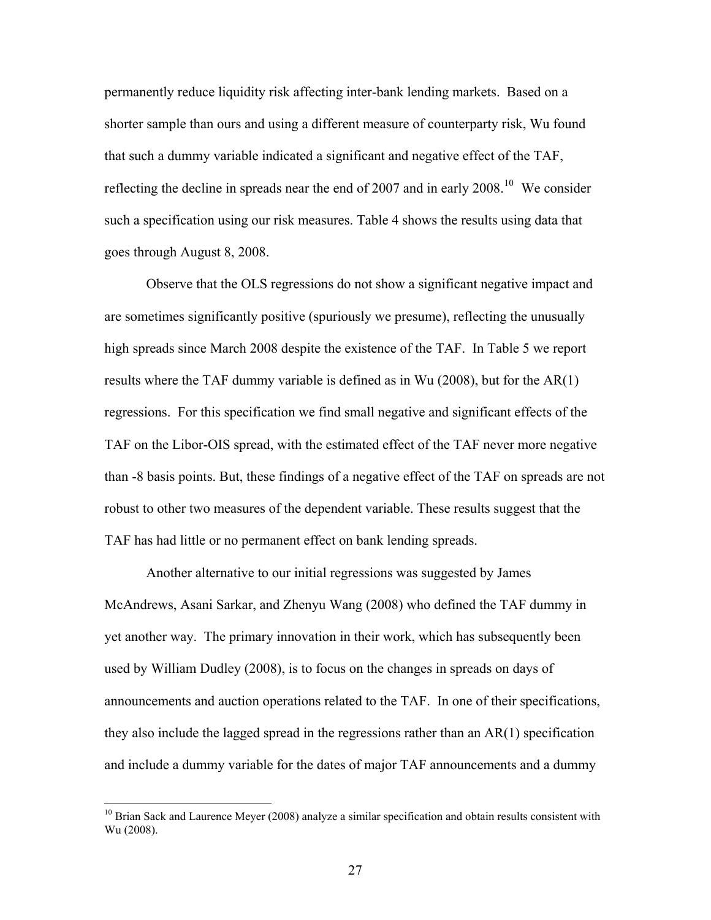permanently reduce liquidity risk affecting inter-bank lending markets. Based on a shorter sample than ours and using a different measure of counterparty risk, Wu found that such a dummy variable indicated a significant and negative effect of the TAF, reflecting the decline in spreads near the end of 2007 and in early 2008.<sup>[10](#page-27-0)</sup> We consider such a specification using our risk measures. Table 4 shows the results using data that goes through August 8, 2008.

Observe that the OLS regressions do not show a significant negative impact and are sometimes significantly positive (spuriously we presume), reflecting the unusually high spreads since March 2008 despite the existence of the TAF. In Table 5 we report results where the TAF dummy variable is defined as in Wu (2008), but for the AR(1) regressions. For this specification we find small negative and significant effects of the TAF on the Libor-OIS spread, with the estimated effect of the TAF never more negative than -8 basis points. But, these findings of a negative effect of the TAF on spreads are not robust to other two measures of the dependent variable. These results suggest that the TAF has had little or no permanent effect on bank lending spreads.

 Another alternative to our initial regressions was suggested by James McAndrews, Asani Sarkar, and Zhenyu Wang (2008) who defined the TAF dummy in yet another way. The primary innovation in their work, which has subsequently been used by William Dudley (2008), is to focus on the changes in spreads on days of announcements and auction operations related to the TAF. In one of their specifications, they also include the lagged spread in the regressions rather than an  $AR(1)$  specification and include a dummy variable for the dates of major TAF announcements and a dummy

<span id="page-27-0"></span><sup>&</sup>lt;sup>10</sup> Brian Sack and Laurence Meyer (2008) analyze a similar specification and obtain results consistent with Wu (2008).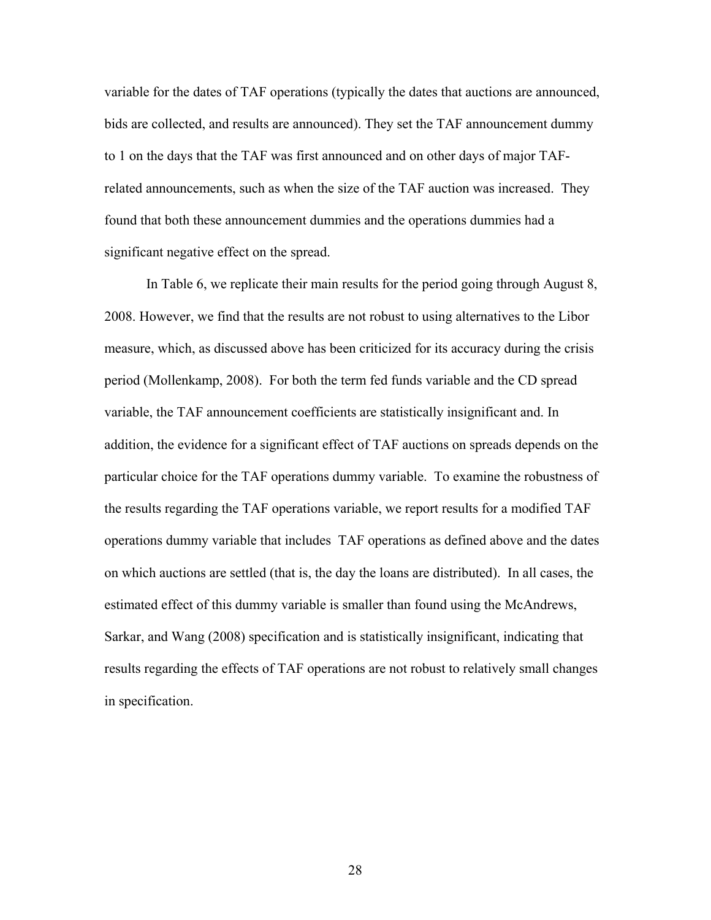variable for the dates of TAF operations (typically the dates that auctions are announced, bids are collected, and results are announced). They set the TAF announcement dummy to 1 on the days that the TAF was first announced and on other days of major TAFrelated announcements, such as when the size of the TAF auction was increased. They found that both these announcement dummies and the operations dummies had a significant negative effect on the spread.

 In Table 6, we replicate their main results for the period going through August 8, 2008. However, we find that the results are not robust to using alternatives to the Libor measure, which, as discussed above has been criticized for its accuracy during the crisis period (Mollenkamp, 2008). For both the term fed funds variable and the CD spread variable, the TAF announcement coefficients are statistically insignificant and. In addition, the evidence for a significant effect of TAF auctions on spreads depends on the particular choice for the TAF operations dummy variable. To examine the robustness of the results regarding the TAF operations variable, we report results for a modified TAF operations dummy variable that includes TAF operations as defined above and the dates on which auctions are settled (that is, the day the loans are distributed). In all cases, the estimated effect of this dummy variable is smaller than found using the McAndrews, Sarkar, and Wang (2008) specification and is statistically insignificant, indicating that results regarding the effects of TAF operations are not robust to relatively small changes in specification.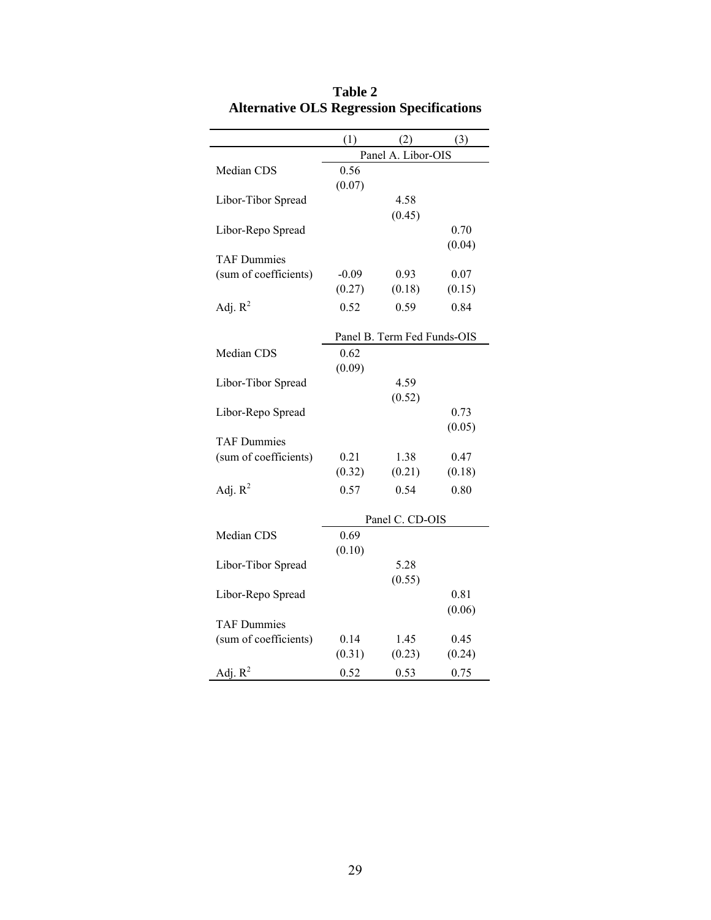| (1)<br>(2)<br>(3)<br>Panel A. Libor-OIS<br>0.56<br>Median CDS<br>(0.07)<br>4.58<br>Libor-Tibor Spread<br>(0.45)<br>0.70<br>Libor-Repo Spread<br>(0.04)<br><b>TAF Dummies</b><br>(sum of coefficients)<br>$-0.09$<br>0.93<br>0.07<br>(0.27)<br>(0.18)<br>(0.15)<br>Adj. $R^2$<br>0.52<br>0.59<br>0.84<br>Panel B. Term Fed Funds-OIS<br>0.62<br>Median CDS<br>(0.09)<br>4.59<br>Libor-Tibor Spread<br>(0.52)<br>0.73<br>Libor-Repo Spread<br>(0.05)<br><b>TAF Dummies</b><br>(sum of coefficients)<br>0.21<br>1.38<br>0.47<br>(0.32)<br>(0.21)<br>(0.18)<br>Adj. $R^2$<br>0.57<br>0.54<br>0.80<br>Panel C. CD-OIS<br>Median CDS<br>0.69<br>(0.10)<br>5.28<br>Libor-Tibor Spread |  |        |  |
|--------------------------------------------------------------------------------------------------------------------------------------------------------------------------------------------------------------------------------------------------------------------------------------------------------------------------------------------------------------------------------------------------------------------------------------------------------------------------------------------------------------------------------------------------------------------------------------------------------------------------------------------------------------------------------|--|--------|--|
|                                                                                                                                                                                                                                                                                                                                                                                                                                                                                                                                                                                                                                                                                |  |        |  |
|                                                                                                                                                                                                                                                                                                                                                                                                                                                                                                                                                                                                                                                                                |  |        |  |
|                                                                                                                                                                                                                                                                                                                                                                                                                                                                                                                                                                                                                                                                                |  |        |  |
|                                                                                                                                                                                                                                                                                                                                                                                                                                                                                                                                                                                                                                                                                |  |        |  |
|                                                                                                                                                                                                                                                                                                                                                                                                                                                                                                                                                                                                                                                                                |  |        |  |
|                                                                                                                                                                                                                                                                                                                                                                                                                                                                                                                                                                                                                                                                                |  |        |  |
|                                                                                                                                                                                                                                                                                                                                                                                                                                                                                                                                                                                                                                                                                |  |        |  |
|                                                                                                                                                                                                                                                                                                                                                                                                                                                                                                                                                                                                                                                                                |  |        |  |
|                                                                                                                                                                                                                                                                                                                                                                                                                                                                                                                                                                                                                                                                                |  |        |  |
|                                                                                                                                                                                                                                                                                                                                                                                                                                                                                                                                                                                                                                                                                |  |        |  |
|                                                                                                                                                                                                                                                                                                                                                                                                                                                                                                                                                                                                                                                                                |  |        |  |
|                                                                                                                                                                                                                                                                                                                                                                                                                                                                                                                                                                                                                                                                                |  |        |  |
|                                                                                                                                                                                                                                                                                                                                                                                                                                                                                                                                                                                                                                                                                |  |        |  |
|                                                                                                                                                                                                                                                                                                                                                                                                                                                                                                                                                                                                                                                                                |  |        |  |
|                                                                                                                                                                                                                                                                                                                                                                                                                                                                                                                                                                                                                                                                                |  |        |  |
|                                                                                                                                                                                                                                                                                                                                                                                                                                                                                                                                                                                                                                                                                |  |        |  |
|                                                                                                                                                                                                                                                                                                                                                                                                                                                                                                                                                                                                                                                                                |  |        |  |
|                                                                                                                                                                                                                                                                                                                                                                                                                                                                                                                                                                                                                                                                                |  |        |  |
|                                                                                                                                                                                                                                                                                                                                                                                                                                                                                                                                                                                                                                                                                |  |        |  |
|                                                                                                                                                                                                                                                                                                                                                                                                                                                                                                                                                                                                                                                                                |  |        |  |
|                                                                                                                                                                                                                                                                                                                                                                                                                                                                                                                                                                                                                                                                                |  |        |  |
|                                                                                                                                                                                                                                                                                                                                                                                                                                                                                                                                                                                                                                                                                |  |        |  |
|                                                                                                                                                                                                                                                                                                                                                                                                                                                                                                                                                                                                                                                                                |  |        |  |
|                                                                                                                                                                                                                                                                                                                                                                                                                                                                                                                                                                                                                                                                                |  |        |  |
|                                                                                                                                                                                                                                                                                                                                                                                                                                                                                                                                                                                                                                                                                |  |        |  |
|                                                                                                                                                                                                                                                                                                                                                                                                                                                                                                                                                                                                                                                                                |  |        |  |
|                                                                                                                                                                                                                                                                                                                                                                                                                                                                                                                                                                                                                                                                                |  |        |  |
|                                                                                                                                                                                                                                                                                                                                                                                                                                                                                                                                                                                                                                                                                |  |        |  |
|                                                                                                                                                                                                                                                                                                                                                                                                                                                                                                                                                                                                                                                                                |  | (0.55) |  |
| Libor-Repo Spread<br>0.81<br>(0.06)                                                                                                                                                                                                                                                                                                                                                                                                                                                                                                                                                                                                                                            |  |        |  |
| <b>TAF Dummies</b>                                                                                                                                                                                                                                                                                                                                                                                                                                                                                                                                                                                                                                                             |  |        |  |
| (sum of coefficients)<br>0.14<br>0.45<br>1.45                                                                                                                                                                                                                                                                                                                                                                                                                                                                                                                                                                                                                                  |  |        |  |
| (0.31)<br>(0.23)<br>(0.24)                                                                                                                                                                                                                                                                                                                                                                                                                                                                                                                                                                                                                                                     |  |        |  |
| Adj. $R^2$<br>0.52<br>0.53<br>0.75                                                                                                                                                                                                                                                                                                                                                                                                                                                                                                                                                                                                                                             |  |        |  |

**Table 2 Alternative OLS Regression Specifications**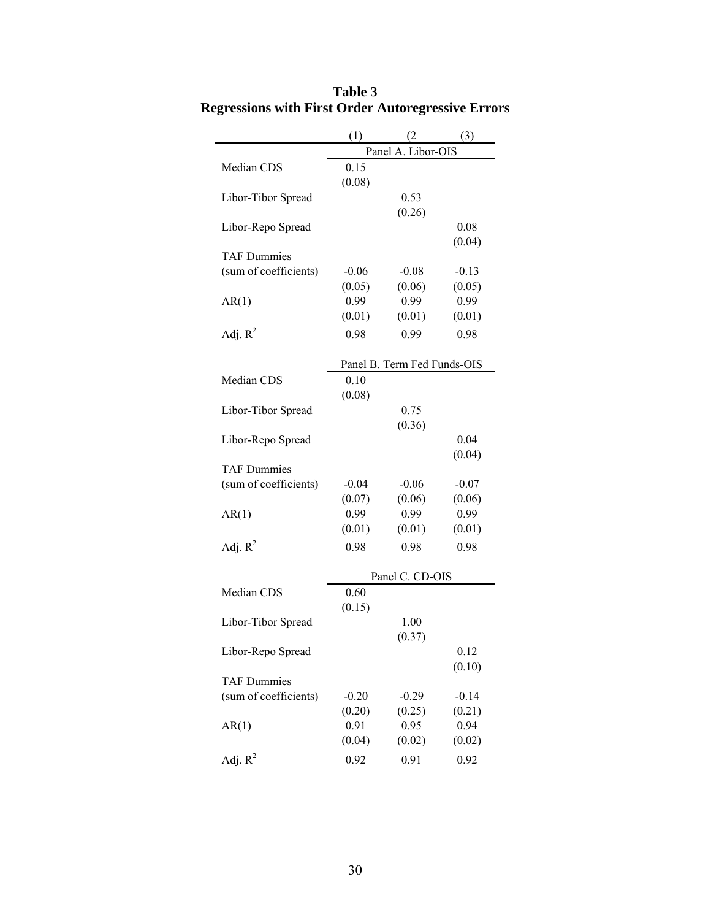|                       | (1)            | (2)                         | (3)            |
|-----------------------|----------------|-----------------------------|----------------|
|                       |                | Panel A. Libor-OIS          |                |
| Median CDS            | 0.15           |                             |                |
|                       | (0.08)         |                             |                |
| Libor-Tibor Spread    |                | 0.53                        |                |
|                       |                | (0.26)                      |                |
| Libor-Repo Spread     |                |                             | 0.08           |
| <b>TAF Dummies</b>    |                |                             | (0.04)         |
| (sum of coefficients) | $-0.06$        | $-0.08$                     | $-0.13$        |
|                       | (0.05)         | (0.06)                      | (0.05)         |
| AR(1)                 | 0.99           | 0.99                        | 0.99           |
|                       | (0.01)         | (0.01)                      | (0.01)         |
| Adj. $R^2$            | 0.98           | 0.99                        | 0.98           |
|                       |                |                             |                |
|                       |                | Panel B. Term Fed Funds-OIS |                |
| Median CDS            | 0.10           |                             |                |
|                       | (0.08)         |                             |                |
| Libor-Tibor Spread    |                | 0.75                        |                |
|                       |                | (0.36)                      |                |
| Libor-Repo Spread     |                |                             | 0.04           |
|                       |                |                             | (0.04)         |
| <b>TAF Dummies</b>    |                |                             |                |
| (sum of coefficients) | $-0.04$        | $-0.06$                     | $-0.07$        |
| AR(1)                 | (0.07)<br>0.99 | (0.06)<br>0.99              | (0.06)<br>0.99 |
|                       | (0.01)         | (0.01)                      | (0.01)         |
| Adj. $R^2$            | 0.98           | 0.98                        | 0.98           |
|                       |                |                             |                |
|                       |                | Panel C. CD-OIS             |                |
| Median CDS            | 0.60           |                             |                |
|                       | (0.15)         |                             |                |
| Libor-Tibor Spread    |                | 1.00                        |                |
|                       |                | (0.37)                      |                |
| Libor-Repo Spread     |                |                             | 0.12           |
|                       |                |                             | (0.10)         |
| <b>TAF Dummies</b>    |                |                             |                |
| (sum of coefficients) | $-0.20$        | $-0.29$                     | $-0.14$        |
|                       | (0.20)         | (0.25)                      | (0.21)         |
| AR(1)                 | 0.91<br>(0.04) | 0.95<br>(0.02)              | 0.94<br>(0.02) |
|                       |                |                             |                |
| Adj. $R^2$            | 0.92           | 0.91                        | 0.92           |

**Table 3 Regressions with First Order Autoregressive Errors**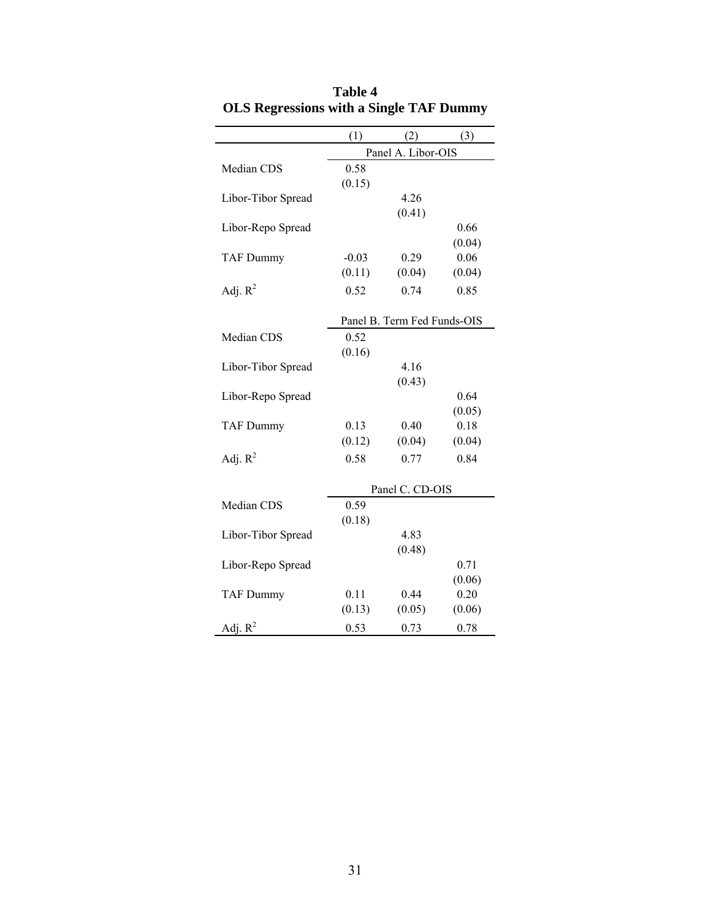|                    | (1)     | (2)                         | (3)    |
|--------------------|---------|-----------------------------|--------|
|                    |         | Panel A. Libor-OIS          |        |
| Median CDS         | 0.58    |                             |        |
|                    | (0.15)  |                             |        |
| Libor-Tibor Spread |         | 4.26                        |        |
|                    |         | (0.41)                      |        |
| Libor-Repo Spread  |         |                             | 0.66   |
|                    |         |                             | (0.04) |
| <b>TAF Dummy</b>   | $-0.03$ | 0.29                        | 0.06   |
|                    | (0.11)  | (0.04)                      | (0.04) |
| Adj. $R^2$         | 0.52    | 0.74                        | 0.85   |
|                    |         |                             |        |
|                    |         | Panel B. Term Fed Funds-OIS |        |
| Median CDS         | 0.52    |                             |        |
|                    | (0.16)  |                             |        |
| Libor-Tibor Spread |         | 4.16                        |        |
|                    |         | (0.43)                      |        |
| Libor-Repo Spread  |         |                             | 0.64   |
|                    |         |                             | (0.05) |
| <b>TAF Dummy</b>   | 0.13    | 0.40                        | 0.18   |
|                    | (0.12)  | (0.04)                      | (0.04) |
| Adj. $R^2$         | 0.58    | 0.77                        | 0.84   |
|                    |         |                             |        |
|                    |         | Panel C. CD-OIS             |        |
| Median CDS         | 0.59    |                             |        |
|                    | (0.18)  |                             |        |
| Libor-Tibor Spread |         | 4.83                        |        |
|                    |         | (0.48)                      |        |
| Libor-Repo Spread  |         |                             | 0.71   |
|                    |         |                             | (0.06) |
| <b>TAF Dummy</b>   | 0.11    | 0.44                        | 0.20   |
|                    | (0.13)  | (0.05)                      | (0.06) |
| Adj. $R^2$         | 0.53    | 0.73                        | 0.78   |

|                                                | Table 4 |  |  |
|------------------------------------------------|---------|--|--|
| <b>OLS Regressions with a Single TAF Dummy</b> |         |  |  |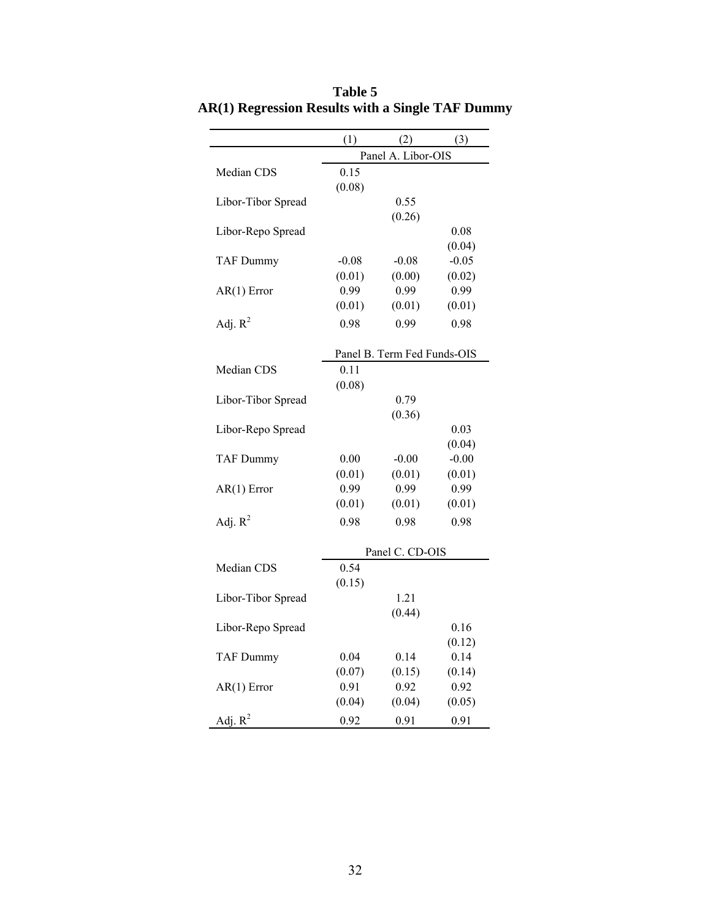|                    | (1)     | (2)                         | (3)     |
|--------------------|---------|-----------------------------|---------|
|                    |         | Panel A. Libor-OIS          |         |
| Median CDS         | 0.15    |                             |         |
|                    | (0.08)  |                             |         |
| Libor-Tibor Spread |         | 0.55                        |         |
|                    |         | (0.26)                      |         |
| Libor-Repo Spread  |         |                             | 0.08    |
|                    |         |                             | (0.04)  |
| <b>TAF Dummy</b>   | $-0.08$ | $-0.08$                     | $-0.05$ |
|                    | (0.01)  | (0.00)                      | (0.02)  |
| $AR(1)$ Error      | 0.99    | 0.99                        | 0.99    |
|                    | (0.01)  | (0.01)                      | (0.01)  |
| Adj. $R^2$         | 0.98    | 0.99                        | 0.98    |
|                    |         |                             |         |
|                    |         | Panel B. Term Fed Funds-OIS |         |
| Median CDS         | 0.11    |                             |         |
|                    | (0.08)  |                             |         |
| Libor-Tibor Spread |         | 0.79                        |         |
|                    |         | (0.36)                      |         |
| Libor-Repo Spread  |         |                             | 0.03    |
|                    |         |                             | (0.04)  |
| <b>TAF Dummy</b>   | 0.00    | $-0.00$                     | $-0.00$ |
|                    | (0.01)  | (0.01)                      | (0.01)  |
| $AR(1)$ Error      | 0.99    | 0.99                        | 0.99    |
|                    | (0.01)  | (0.01)                      | (0.01)  |
| Adj. $R^2$         | 0.98    | 0.98                        | 0.98    |
|                    |         |                             |         |
|                    |         | Panel C. CD-OIS             |         |
| Median CDS         | 0.54    |                             |         |
|                    | (0.15)  |                             |         |
| Libor-Tibor Spread |         | 1.21                        |         |
|                    |         | (0.44)                      |         |
| Libor-Repo Spread  |         |                             | 0.16    |
|                    |         |                             | (0.12)  |
| <b>TAF Dummy</b>   | 0.04    | 0.14                        | 0.14    |
|                    | (0.07)  | (0.15)                      | (0.14)  |
| $AR(1)$ Error      | 0.91    | 0.92                        | 0.92    |
|                    | (0.04)  | (0.04)                      | (0.05)  |
| Adj. $R^2$         | 0.92    | 0.91                        | 0.91    |

**Table 5 AR(1) Regression Results with a Single TAF Dummy**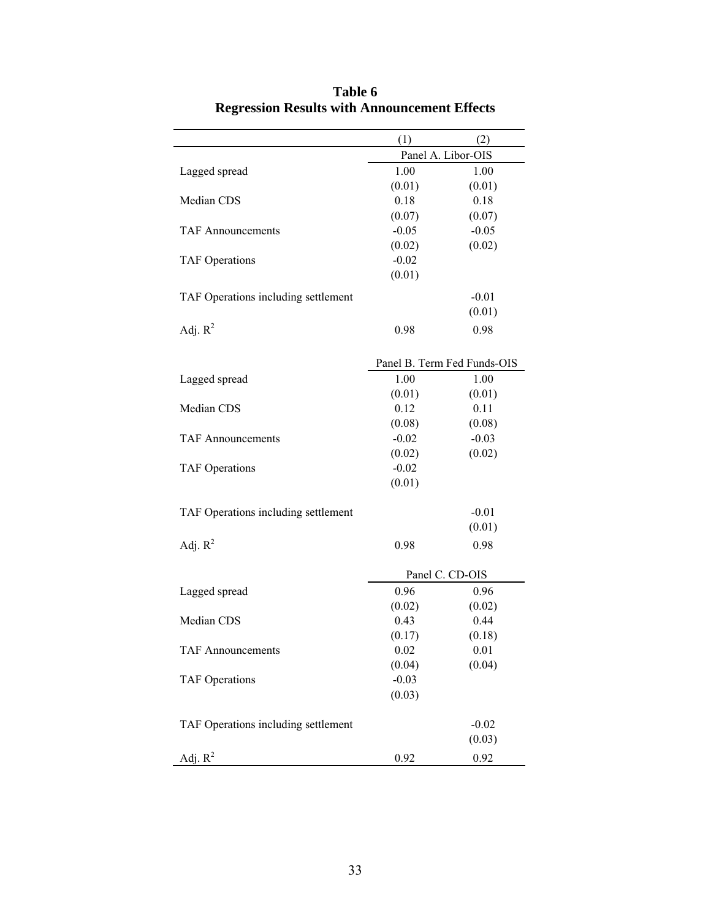|                                     | (1)            | (2)                         |
|-------------------------------------|----------------|-----------------------------|
|                                     |                | Panel A. Libor-OIS          |
| Lagged spread                       | 1.00           | 1.00                        |
|                                     | (0.01)         | (0.01)                      |
| Median CDS                          | 0.18           | 0.18                        |
|                                     | (0.07)         | (0.07)                      |
| <b>TAF Announcements</b>            | $-0.05$        | $-0.05$                     |
|                                     | (0.02)         | (0.02)                      |
| <b>TAF Operations</b>               | $-0.02$        |                             |
|                                     | (0.01)         |                             |
| TAF Operations including settlement |                | $-0.01$                     |
|                                     |                | (0.01)                      |
|                                     |                |                             |
| Adj. $R^2$                          | 0.98           | 0.98                        |
|                                     |                |                             |
|                                     |                | Panel B. Term Fed Funds-OIS |
| Lagged spread                       | 1.00           | 1.00                        |
|                                     | (0.01)         | (0.01)                      |
| Median CDS                          | 0.12           | 0.11                        |
|                                     | (0.08)         | (0.08)                      |
| <b>TAF Announcements</b>            | $-0.02$        | $-0.03$                     |
|                                     | (0.02)         | (0.02)                      |
| <b>TAF Operations</b>               | $-0.02$        |                             |
|                                     | (0.01)         |                             |
|                                     |                |                             |
| TAF Operations including settlement |                | $-0.01$                     |
|                                     |                | (0.01)                      |
| Adj. $R^2$                          | 0.98           | 0.98                        |
|                                     |                | Panel C. CD-OIS             |
|                                     | 0.96           | 0.96                        |
| Lagged spread                       | (0.02)         |                             |
| Median CDS                          | 0.43           | (0.02)<br>0.44              |
|                                     | (0.17)         | (0.18)                      |
|                                     |                | 0.01                        |
| <b>TAF Announcements</b>            | 0.02<br>(0.04) | (0.04)                      |
| <b>TAF Operations</b>               | $-0.03$        |                             |
|                                     | (0.03)         |                             |
|                                     |                |                             |
| TAF Operations including settlement |                | $-0.02$                     |
|                                     |                | (0.03)                      |
|                                     |                |                             |
| Adj. $R^2$                          | 0.92           | 0.92                        |

**Table 6 Regression Results with Announcement Effects**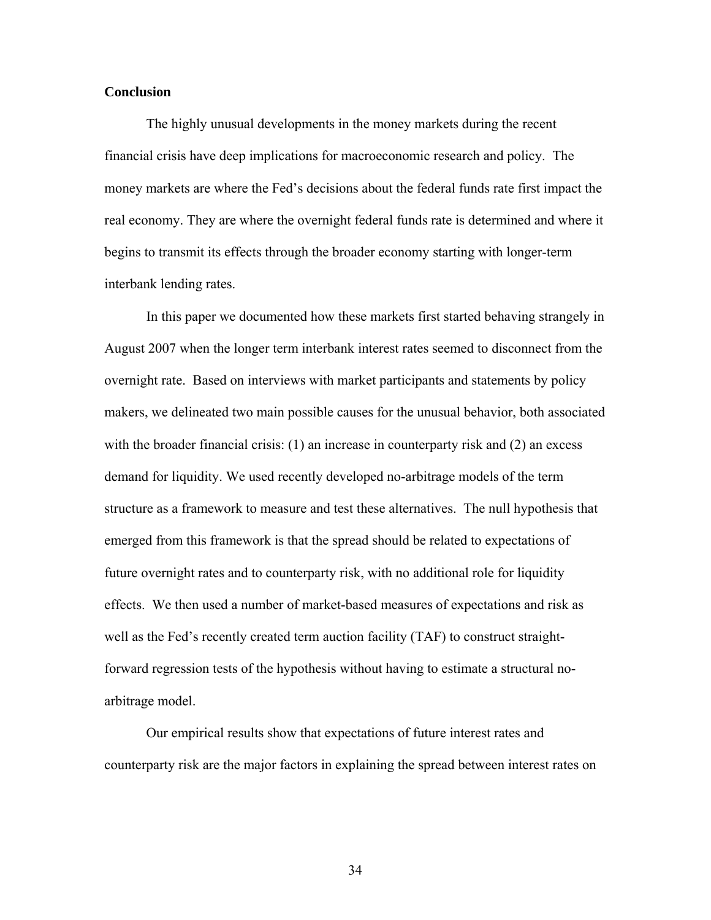### **Conclusion**

 The highly unusual developments in the money markets during the recent financial crisis have deep implications for macroeconomic research and policy. The money markets are where the Fed's decisions about the federal funds rate first impact the real economy. They are where the overnight federal funds rate is determined and where it begins to transmit its effects through the broader economy starting with longer-term interbank lending rates.

 In this paper we documented how these markets first started behaving strangely in August 2007 when the longer term interbank interest rates seemed to disconnect from the overnight rate. Based on interviews with market participants and statements by policy makers, we delineated two main possible causes for the unusual behavior, both associated with the broader financial crisis: (1) an increase in counterparty risk and (2) an excess demand for liquidity. We used recently developed no-arbitrage models of the term structure as a framework to measure and test these alternatives. The null hypothesis that emerged from this framework is that the spread should be related to expectations of future overnight rates and to counterparty risk, with no additional role for liquidity effects. We then used a number of market-based measures of expectations and risk as well as the Fed's recently created term auction facility (TAF) to construct straightforward regression tests of the hypothesis without having to estimate a structural noarbitrage model.

 Our empirical results show that expectations of future interest rates and counterparty risk are the major factors in explaining the spread between interest rates on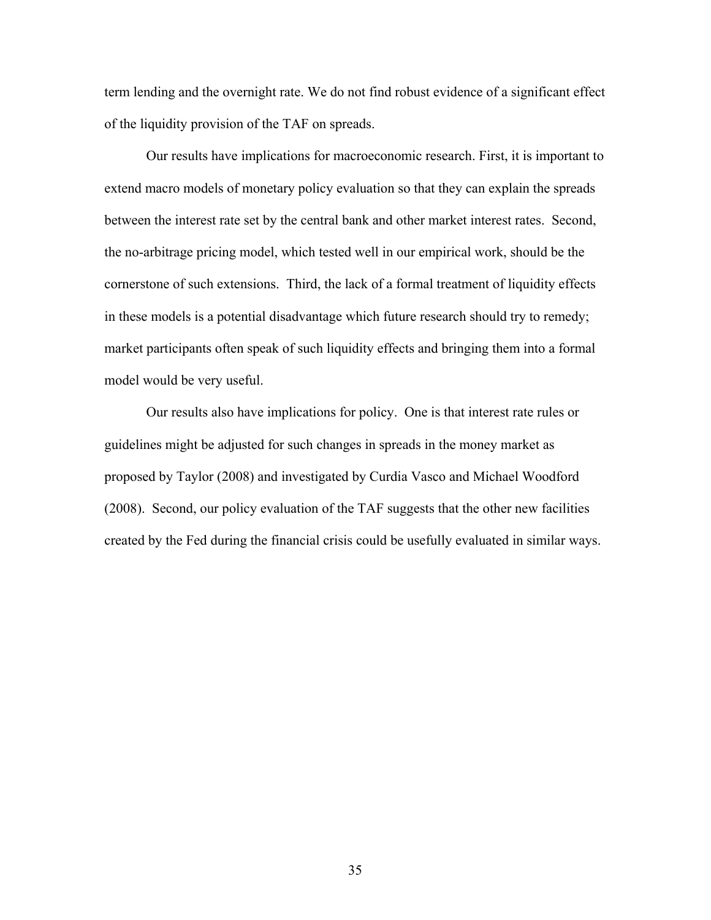term lending and the overnight rate. We do not find robust evidence of a significant effect of the liquidity provision of the TAF on spreads.

 Our results have implications for macroeconomic research. First, it is important to extend macro models of monetary policy evaluation so that they can explain the spreads between the interest rate set by the central bank and other market interest rates. Second, the no-arbitrage pricing model, which tested well in our empirical work, should be the cornerstone of such extensions. Third, the lack of a formal treatment of liquidity effects in these models is a potential disadvantage which future research should try to remedy; market participants often speak of such liquidity effects and bringing them into a formal model would be very useful.

 Our results also have implications for policy. One is that interest rate rules or guidelines might be adjusted for such changes in spreads in the money market as proposed by Taylor (2008) and investigated by Curdia Vasco and Michael Woodford (2008). Second, our policy evaluation of the TAF suggests that the other new facilities created by the Fed during the financial crisis could be usefully evaluated in similar ways.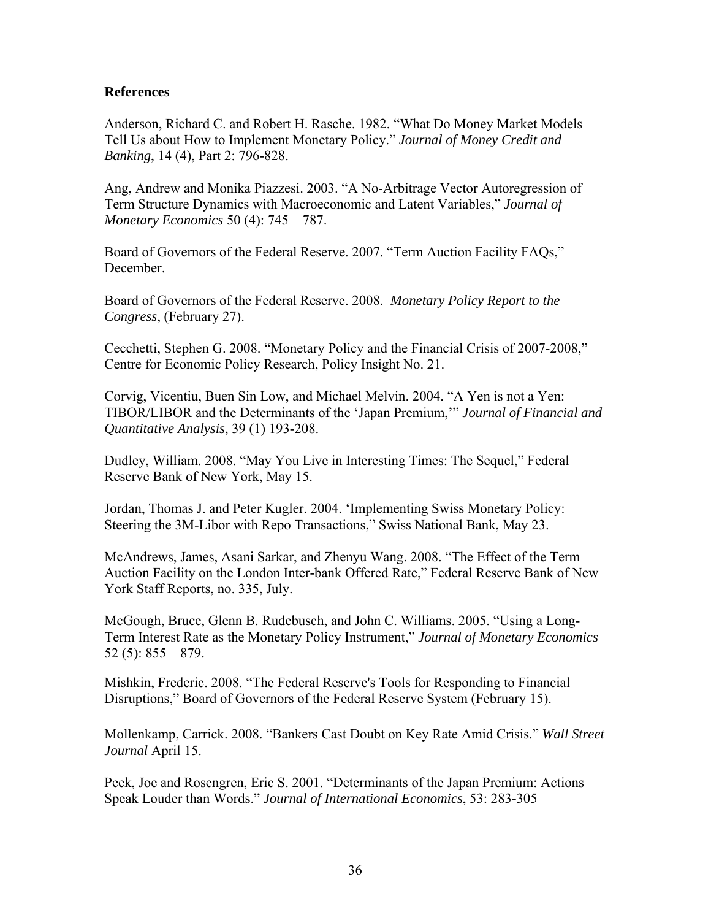# **References**

Anderson, Richard C. and Robert H. Rasche. 1982. "What Do Money Market Models Tell Us about How to Implement Monetary Policy." *Journal of Money Credit and Banking*, 14 (4), Part 2: 796-828.

Ang, Andrew and Monika Piazzesi. 2003. "A No-Arbitrage Vector Autoregression of Term Structure Dynamics with Macroeconomic and Latent Variables," *Journal of Monetary Economics* 50 (4): 745 – 787.

Board of Governors of the Federal Reserve. 2007. "Term Auction Facility FAQs," December.

Board of Governors of the Federal Reserve. 2008. *Monetary Policy Report to the Congress*, (February 27).

Cecchetti, Stephen G. 2008. "Monetary Policy and the Financial Crisis of 2007-2008," Centre for Economic Policy Research, Policy Insight No. 21.

Corvig, Vicentiu, Buen Sin Low, and Michael Melvin. 2004. "A Yen is not a Yen: TIBOR/LIBOR and the Determinants of the 'Japan Premium,'" *Journal of Financial and Quantitative Analysis*, 39 (1) 193-208.

Dudley, William. 2008. "May You Live in Interesting Times: The Sequel," Federal Reserve Bank of New York, May 15.

Jordan, Thomas J. and Peter Kugler. 2004. 'Implementing Swiss Monetary Policy: Steering the 3M-Libor with Repo Transactions," Swiss National Bank, May 23.

McAndrews, James, Asani Sarkar, and Zhenyu Wang. 2008. "The Effect of the Term Auction Facility on the London Inter-bank Offered Rate," Federal Reserve Bank of New York Staff Reports, no. 335, July.

McGough, Bruce, Glenn B. Rudebusch, and John C. Williams. 2005. "Using a Long-Term Interest Rate as the Monetary Policy Instrument," *Journal of Monetary Economics* 52 $(5)$ : 855 – 879.

Mishkin, Frederic. 2008. "The Federal Reserve's Tools for Responding to Financial Disruptions," Board of Governors of the Federal Reserve System (February 15).

Mollenkamp, Carrick. 2008. "Bankers Cast Doubt on Key Rate Amid Crisis." *Wall Street Journal* April 15.

Peek, Joe and Rosengren, Eric S. 2001. "Determinants of the Japan Premium: Actions Speak Louder than Words." *Journal of International Economics*, 53: 283-305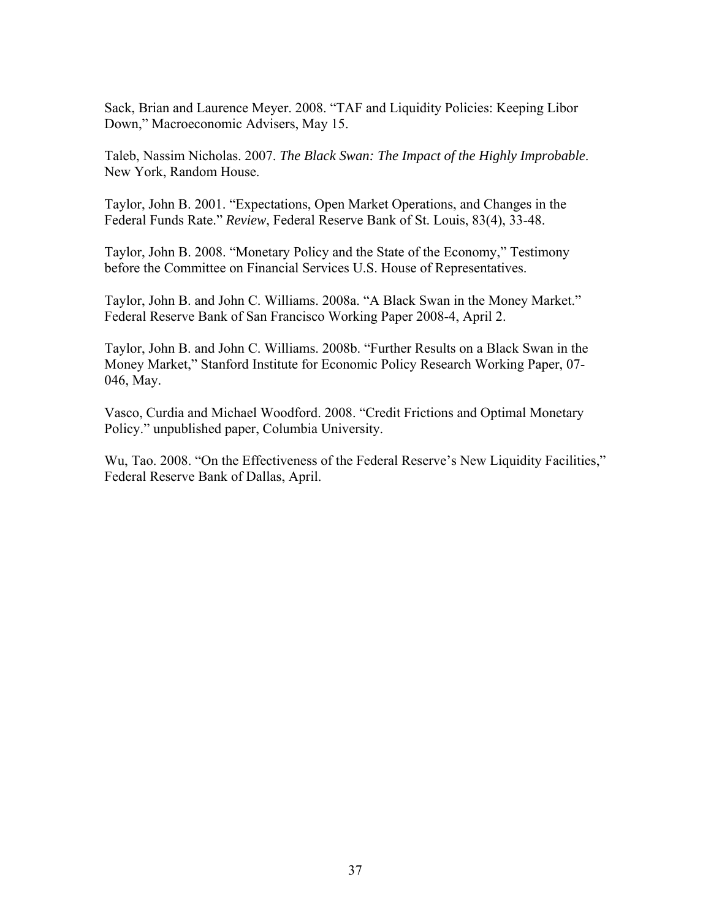Sack, Brian and Laurence Meyer. 2008. "TAF and Liquidity Policies: Keeping Libor Down," Macroeconomic Advisers, May 15.

Taleb, Nassim Nicholas. 2007. *The Black Swan: The Impact of the Highly Improbable*. New York, Random House.

Taylor, John B. 2001. "Expectations, Open Market Operations, and Changes in the Federal Funds Rate." *Review*, Federal Reserve Bank of St. Louis, 83(4), 33-48.

Taylor, John B. 2008. "Monetary Policy and the State of the Economy," Testimony before the Committee on Financial Services U.S. House of Representatives.

Taylor, John B. and John C. Williams. 2008a. "A Black Swan in the Money Market." Federal Reserve Bank of San Francisco Working Paper 2008-4, April 2.

Taylor, John B. and John C. Williams. 2008b. "Further Results on a Black Swan in the Money Market," Stanford Institute for Economic Policy Research Working Paper, 07- 046, May.

Vasco, Curdia and Michael Woodford. 2008. "Credit Frictions and Optimal Monetary Policy." unpublished paper, Columbia University.

Wu, Tao. 2008. "On the Effectiveness of the Federal Reserve's New Liquidity Facilities," Federal Reserve Bank of Dallas, April.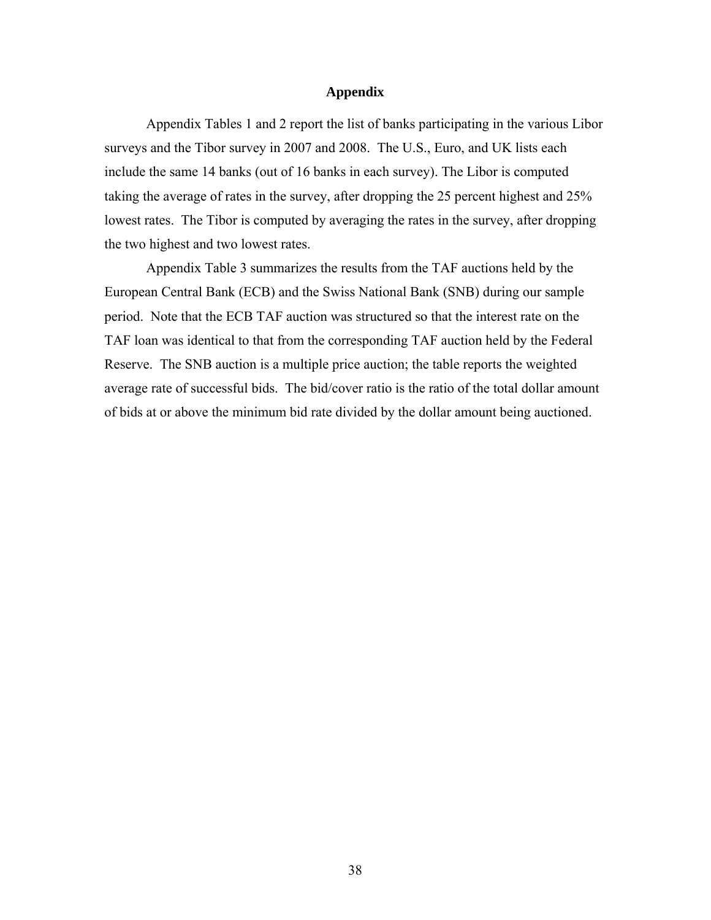### **Appendix**

Appendix Tables 1 and 2 report the list of banks participating in the various Libor surveys and the Tibor survey in 2007 and 2008. The U.S., Euro, and UK lists each include the same 14 banks (out of 16 banks in each survey). The Libor is computed taking the average of rates in the survey, after dropping the 25 percent highest and 25% lowest rates. The Tibor is computed by averaging the rates in the survey, after dropping the two highest and two lowest rates.

Appendix Table 3 summarizes the results from the TAF auctions held by the European Central Bank (ECB) and the Swiss National Bank (SNB) during our sample period. Note that the ECB TAF auction was structured so that the interest rate on the TAF loan was identical to that from the corresponding TAF auction held by the Federal Reserve. The SNB auction is a multiple price auction; the table reports the weighted average rate of successful bids. The bid/cover ratio is the ratio of the total dollar amount of bids at or above the minimum bid rate divided by the dollar amount being auctioned.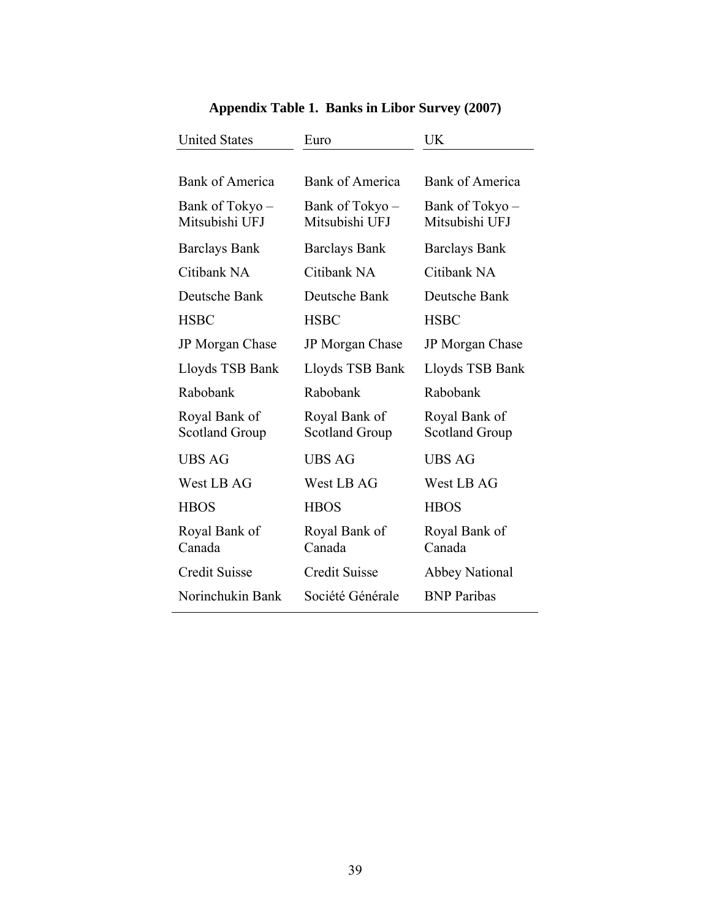| <b>United States</b>                   | Euro                                   | UK                                     |
|----------------------------------------|----------------------------------------|----------------------------------------|
|                                        |                                        |                                        |
| <b>Bank of America</b>                 | <b>Bank of America</b>                 | Bank of America                        |
| Bank of Tokyo –<br>Mitsubishi UFJ      | Bank of Tokyo –<br>Mitsubishi UFJ      | Bank of Tokyo –<br>Mitsubishi UFJ      |
| <b>Barclays Bank</b>                   | <b>Barclays Bank</b>                   | <b>Barclays Bank</b>                   |
| Citibank NA                            | Citibank NA                            | Citibank NA                            |
| Deutsche Bank                          | Deutsche Bank                          | Deutsche Bank                          |
| <b>HSBC</b>                            | <b>HSBC</b>                            | <b>HSBC</b>                            |
| JP Morgan Chase                        | JP Morgan Chase                        | JP Morgan Chase                        |
| Lloyds TSB Bank                        | Lloyds TSB Bank                        | Lloyds TSB Bank                        |
| Rabobank                               | Rabobank                               | Rabobank                               |
| Royal Bank of<br><b>Scotland Group</b> | Royal Bank of<br><b>Scotland Group</b> | Royal Bank of<br><b>Scotland Group</b> |
| <b>UBS AG</b>                          | <b>UBS AG</b>                          | <b>UBS AG</b>                          |
| West LB AG                             | West LB AG                             | West LB AG                             |
| <b>HBOS</b>                            | <b>HBOS</b>                            | <b>HBOS</b>                            |
| Royal Bank of<br>Canada                | Royal Bank of<br>Canada                | Royal Bank of<br>Canada                |
| <b>Credit Suisse</b>                   | <b>Credit Suisse</b>                   | <b>Abbey National</b>                  |
| Norinchukin Bank                       | Société Générale                       | <b>BNP</b> Paribas                     |

# **Appendix Table 1. Banks in Libor Survey (2007)**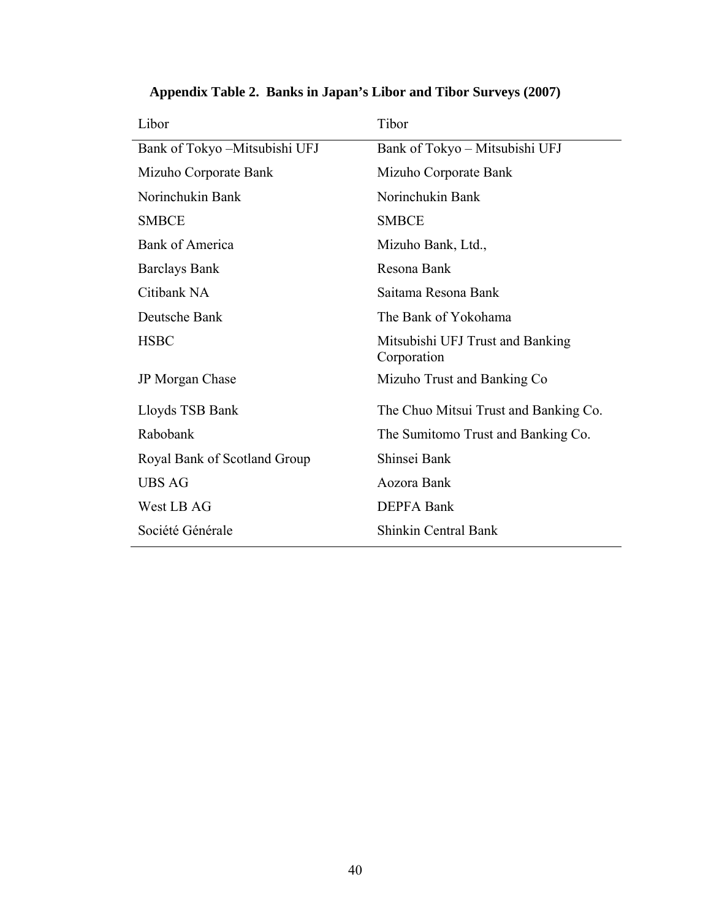| Libor                         | Tibor                                           |
|-------------------------------|-------------------------------------------------|
| Bank of Tokyo -Mitsubishi UFJ | Bank of Tokyo – Mitsubishi UFJ                  |
| Mizuho Corporate Bank         | Mizuho Corporate Bank                           |
| Norinchukin Bank              | Norinchukin Bank                                |
| <b>SMBCE</b>                  | <b>SMBCE</b>                                    |
| <b>Bank of America</b>        | Mizuho Bank, Ltd.,                              |
| <b>Barclays Bank</b>          | Resona Bank                                     |
| Citibank NA                   | Saitama Resona Bank                             |
| Deutsche Bank                 | The Bank of Yokohama                            |
| <b>HSBC</b>                   | Mitsubishi UFJ Trust and Banking<br>Corporation |
| JP Morgan Chase               | Mizuho Trust and Banking Co                     |
| Lloyds TSB Bank               | The Chuo Mitsui Trust and Banking Co.           |
| Rabobank                      | The Sumitomo Trust and Banking Co.              |
| Royal Bank of Scotland Group  | Shinsei Bank                                    |
| <b>UBS AG</b>                 | Aozora Bank                                     |
| West LB AG                    | <b>DEPFA Bank</b>                               |
| Société Générale              | <b>Shinkin Central Bank</b>                     |
|                               |                                                 |

# **Appendix Table 2. Banks in Japan's Libor and Tibor Surveys (2007)**

 $\overline{\phantom{a}}$